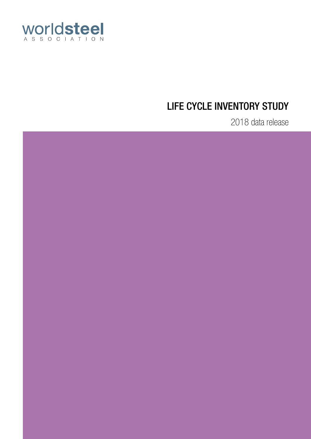

# LIFE CYCLE INVENTORY STUDY

2018 data release

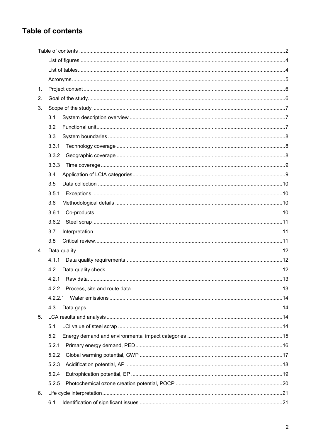# **Table of contents**

| 1. |         |  |
|----|---------|--|
| 2. |         |  |
| 3. |         |  |
|    | 3.1     |  |
|    | 3.2     |  |
|    | 3.3     |  |
|    | 3.3.1   |  |
|    | 3.3.2   |  |
|    | 3.3.3   |  |
|    | 3.4     |  |
|    | 3.5     |  |
|    | 3.5.1   |  |
|    | 3.6     |  |
|    | 3.6.1   |  |
|    | 3.6.2   |  |
|    | 3.7     |  |
|    | 3.8     |  |
| 4. |         |  |
|    | 4.1.1   |  |
|    | 4.2     |  |
|    | 4.2.1   |  |
|    | 4.2.2   |  |
|    | 4.2.2.1 |  |
|    | 4.3     |  |
| 5. |         |  |
|    | 5.1     |  |
|    | 5.2     |  |
|    | 5.2.1   |  |
|    | 5.2.2   |  |
|    | 5.2.3   |  |
|    | 5.2.4   |  |
|    | 5.2.5   |  |
| 6. |         |  |
|    | 6.1     |  |
|    |         |  |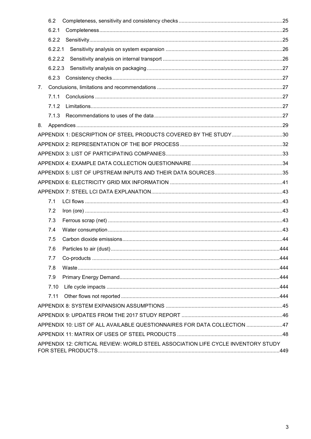|    | 6.2     |                                                                                  |     |
|----|---------|----------------------------------------------------------------------------------|-----|
|    | 6.2.1   |                                                                                  |     |
|    | 6.2.2   |                                                                                  |     |
|    | 6.2.2.1 |                                                                                  |     |
|    | 6.2.2.2 |                                                                                  |     |
|    |         |                                                                                  |     |
|    |         |                                                                                  |     |
| 7. |         |                                                                                  |     |
|    | 7.1.1   |                                                                                  |     |
|    | 7.1.2   |                                                                                  |     |
|    | 7.1.3   |                                                                                  |     |
| 8. |         |                                                                                  |     |
|    |         | APPENDIX 1: DESCRIPTION OF STEEL PRODUCTS COVERED BY THE STUDY30                 |     |
|    |         |                                                                                  |     |
|    |         |                                                                                  |     |
|    |         |                                                                                  |     |
|    |         |                                                                                  |     |
|    |         |                                                                                  |     |
|    |         |                                                                                  |     |
|    | 7.1     |                                                                                  |     |
|    | 7.2     |                                                                                  |     |
|    | 7.3     |                                                                                  |     |
|    | 7.4     |                                                                                  |     |
|    | 7.5     |                                                                                  |     |
|    | 76.     | Particles to air (dust).                                                         | 444 |
|    | 7.7     |                                                                                  |     |
|    | 7.8     |                                                                                  |     |
|    | 7.9     |                                                                                  |     |
|    | 7.10    |                                                                                  |     |
|    | 7.11    |                                                                                  |     |
|    |         |                                                                                  |     |
|    |         |                                                                                  |     |
|    |         | APPENDIX 10: LIST OF ALL AVAILABLE QUESTIONNAIRES FOR DATA COLLECTION 47         |     |
|    |         |                                                                                  |     |
|    |         | APPENDIX 12: CRITICAL REVIEW: WORLD STEEL ASSOCIATION LIFE CYCLE INVENTORY STUDY |     |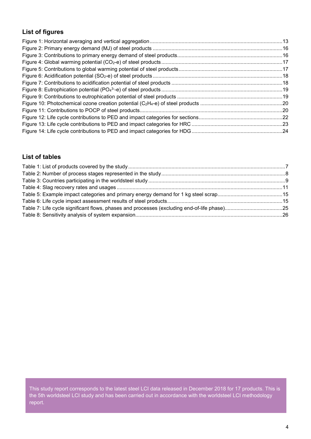# **List of figures**

### **List of tables**

This study report corresponds to the latest steel LCI data released in December 2018 for 17 products. This is the 5th worldsteel LCI study and has been carried out in accordance with the worldsteel LCI methodology report.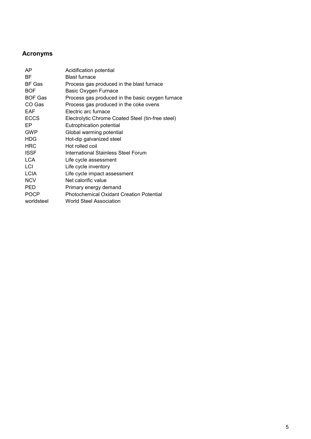# **Acronyms**

| AP            | Acidification potential                           |
|---------------|---------------------------------------------------|
| ВF            | <b>Blast furnace</b>                              |
| <b>BF Gas</b> | Process gas produced in the blast furnace         |
| <b>BOF</b>    | Basic Oxygen Furnace                              |
| BOF Gas       | Process gas produced in the basic oxygen furnace  |
| CO Gas        | Process gas produced in the coke ovens            |
| EAF           | Electric arc furnace                              |
| <b>ECCS</b>   | Electrolytic Chrome Coated Steel (tin-free steel) |
| EP            | Eutrophication potential                          |
| <b>GWP</b>    | Global warming potential                          |
| <b>HDG</b>    | Hot-dip galvanized steel                          |
| <b>HRC</b>    | Hot rolled coil                                   |
| <b>ISSF</b>   | International Stainless Steel Forum               |
| <b>LCA</b>    | Life cycle assessment                             |
| LCI           | Life cycle inventory                              |
| <b>LCIA</b>   | Life cycle impact assessment                      |
| <b>NCV</b>    | Net calorific value                               |
| PED           | Primary energy demand                             |
| <b>POCP</b>   | <b>Photochemical Oxidant Creation Potential</b>   |
| worldsteel    | <b>World Steel Association</b>                    |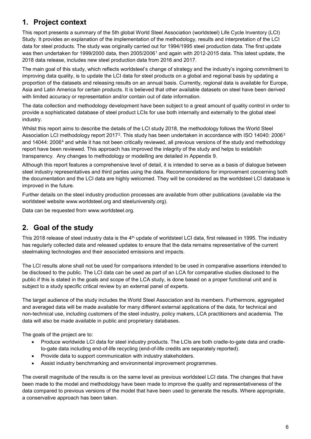# **1. Project context**

This report presents a summary of the 5th global World Steel Association (worldsteel) Life Cycle Inventory (LCI) Study. It provides an explanation of the implementation of the methodology, results and interpretation of the LCI data for steel products. The study was originally carried out for 1994/1995 steel production data. The first update was then undertaken for 1999/2000 data, then 2005/2006[1](#page-50-0) and again with 2012-2015 data. This latest update, the 2018 data release, includes new steel production data from 2016 and 2017.

The main goal of this study, which reflects worldsteel's change of strategy and the industry's ingoing commitment to improving data quality, is to update the LCI data for steel products on a global and regional basis by updating a proportion of the datasets and releasing results on an annual basis. Currently, regional data is available for Europe, Asia and Latin America for certain products. It is believed that other available datasets on steel have been derived with limited accuracy or representation and/or contain out of date information.

The data collection and methodology development have been subject to a great amount of quality control in order to provide a sophisticated database of steel product LCIs for use both internally and externally to the global steel industry.

Whilst this report aims to describe the details of the LCI study 2018, the methodology follows the World Steel Association LCI methodology report [2](#page-50-1)017<sup>2</sup>. This study has been undertaken in accordance with ISO 14040: 2006<sup>[3](#page-50-2)</sup> and 1[4](#page-50-3)044: 2006<sup>4</sup> and while it has not been critically reviewed, all previous versions of the study and methodology report have been reviewed. This approach has improved the integrity of the study and helps to establish transparency. Any changes to methodology or modelling are detailed in Appendix 9.

Although this report features a comprehensive level of detail, it is intended to serve as a basis of dialogue between steel industry representatives and third parties using the data. Recommendations for improvement concerning both the documentation and the LCI data are highly welcomed. They will be considered as the worldsteel LCI database is improved in the future.

Further details on the steel industry production processes are available from other publications (available via the worldsteel website www.worldsteel.org and steeluniversity.org).

Data can be requested from www.worldsteel.org.

# **2. Goal of the study**

This 2018 release of steel industry data is the 4<sup>th</sup> update of worldsteel LCI data, first released in 1995. The industry has regularly collected data and released updates to ensure that the data remains representative of the current steelmaking technologies and their associated emissions and impacts.

The LCI results alone shall not be used for comparisons intended to be used in comparative assertions intended to be disclosed to the public. The LCI data can be used as part of an LCA for comparative studies disclosed to the public if this is stated in the goals and scope of the LCA study, is done based on a proper functional unit and is subject to a study specific critical review by an external panel of experts.

The target audience of the study includes the World Steel Association and its members. Furthermore, aggregated and averaged data will be made available for many different external applications of the data, for technical and non-technical use, including customers of the steel industry, policy makers, LCA practitioners and academia. The data will also be made available in public and proprietary databases.

The goals of the project are to:

- Produce worldwide LCI data for steel industry products. The LCIs are both cradle-to-gate data and cradleto-gate data including end-of-life recycling (end-of-life credits are separately reported).
- Provide data to support communication with industry stakeholders.
- Assist industry benchmarking and environmental improvement programmes.

The overall magnitude of the results is on the same level as previous worldsteel LCI data. The changes that have been made to the model and methodology have been made to improve the quality and representativeness of the data compared to previous versions of the model that have been used to generate the results. Where appropriate, a conservative approach has been taken.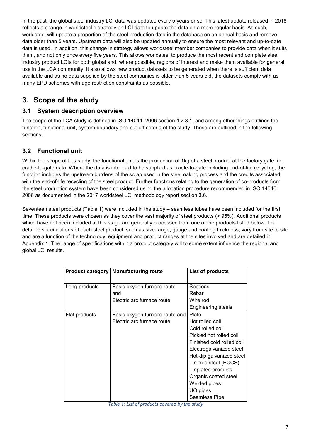In the past, the global steel industry LCI data was updated every 5 years or so. This latest update released in 2018 reflects a change in worldsteel's strategy on LCI data to update the data on a more regular basis. As such, worldsteel will update a proportion of the steel production data in the database on an annual basis and remove data older than 5 years. Upstream data will also be updated annually to ensure the most relevant and up-to-date data is used. In addition, this change in strategy allows worldsteel member companies to provide data when it suits them, and not only once every five years. This allows worldsteel to produce the most recent and complete steel industry product LCIs for both global and, where possible, regions of interest and make them available for general use in the LCA community. It also allows new product datasets to be generated when there is sufficient data available and as no data supplied by the steel companies is older than 5 years old, the datasets comply with as many EPD schemes with age restriction constraints as possible.

# **3. Scope of the study**

### **3.1 System description overview**

The scope of the LCA study is defined in ISO 14044: 2006 section 4.2.3.1, and among other things outlines the function, functional unit, system boundary and cut-off criteria of the study. These are outlined in the following sections.

### **3.2 Functional unit**

Within the scope of this study, the functional unit is the production of 1kg of a steel product at the factory gate, i.e. cradle-to-gate data. Where the data is intended to be supplied as cradle-to-gate including end-of-life recycling, the function includes the upstream burdens of the scrap used in the steelmaking process and the credits associated with the end-of-life recycling of the steel product. Further functions relating to the generation of co-products from the steel production system have been considered using the allocation procedure recommended in ISO 14040: 2006 as documented in the 2017 worldsteel LCI methodology report section 3.6.

Seventeen steel products (Table 1) were included in the study – seamless tubes have been included for the first time. These products were chosen as they cover the vast majority of steel products (> 95%). Additional products which have not been included at this stage are generally processed from one of the products listed below. The detailed specifications of each steel product, such as size range, gauge and coating thickness, vary from site to site and are a function of the technology, equipment and product ranges at the sites involved and are detailed in Appendix 1. The range of specifications within a product category will to some extent influence the regional and global LCI results.

|               | <b>Product category   Manufacturing route</b> | List of products          |
|---------------|-----------------------------------------------|---------------------------|
|               |                                               |                           |
| Long products | Basic oxygen furnace route                    | Sections                  |
|               | and                                           | Rebar                     |
|               | Electric arc furnace route                    | Wire rod                  |
|               |                                               | <b>Engineering steels</b> |
| Flat products | Basic oxygen furnace route and                | Plate                     |
|               | Electric arc furnace route                    | Hot rolled coil           |
|               |                                               | Cold rolled coil          |
|               |                                               | Pickled hot rolled coil   |
|               |                                               | Finished cold rolled coil |
|               |                                               | Electrogalvanized steel   |
|               |                                               | Hot-dip galvanized steel  |
|               |                                               | Tin-free steel (ECCS)     |
|               |                                               | <b>Tinplated products</b> |
|               |                                               | Organic coated steel      |
|               |                                               | Welded pipes              |
|               |                                               | UO pipes                  |
|               |                                               | Seamless Pipe             |

<span id="page-6-0"></span>*Table 1: List of products covered by the study*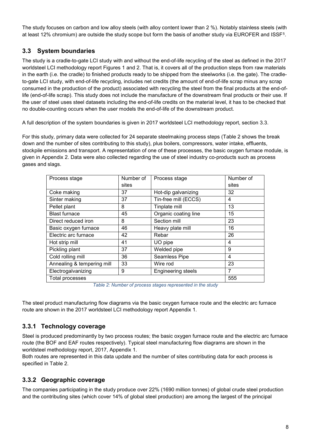The study focuses on carbon and low alloy steels (with alloy content lower than 2 %). Notably stainless steels (with at least 12% chromium) are outside the study scope but form the basis of another study via EUROFER and ISSF[5](#page-50-4).

### **3.3 System boundaries**

The study is a cradle-to-gate LCI study with and without the end-of-life recycling of the steel as defined in the 2017 worldsteel LCI methodology report Figures 1 and 2. That is, it covers all of the production steps from raw materials in the earth (i.e. the cradle) to finished products ready to be shipped from the steelworks (i.e. the gate). The cradleto-gate LCI study, with end-of-life recycling, includes net credits (the amount of end-of-life scrap minus any scrap consumed in the production of the product) associated with recycling the steel from the final products at the end-oflife (end-of-life scrap). This study does not include the manufacture of the downstream final products or their use. If the user of steel uses steel datasets including the end-of-life credits on the material level, it has to be checked that no double-counting occurs when the user models the end-of-life of the downstream product.

A full description of the system boundaries is given in 2017 worldsteel LCI methodology report, section 3.3.

For this study, primary data were collected for 24 separate steelmaking process steps (Table 2 shows the break down and the number of sites contributing to this study), plus boilers, compressors, water intake, effluents, stockpile emissions and transport. A representation of one of these processes, the basic oxygen furnace module, is given in Appendix 2. Data were also collected regarding the use of steel industry co-products such as process gases and slags.

| Process stage              | Number of | Process stage             | Number of      |
|----------------------------|-----------|---------------------------|----------------|
|                            | sites     |                           | sites          |
| Coke making                | 37        | Hot-dip galvanizing       | 32             |
| Sinter making              | 37        | Tin-free mill (ECCS)      | 4              |
| Pellet plant               | 8         | Tinplate mill             | 13             |
| <b>Blast furnace</b>       | 45        | Organic coating line      | 15             |
| Direct reduced iron        | 8         | Section mill              | 23             |
| Basic oxygen furnace       | 46        | Heavy plate mill          | 16             |
| Electric arc furnace       | 42        | Rebar                     | 26             |
| Hot strip mill             | 41        | UO pipe                   | 4              |
| Pickling plant             | 37        | Welded pipe               | 9              |
| Cold rolling mill          | 36        | Seamless Pipe             | $\overline{4}$ |
| Annealing & tempering mill | 33        | Wire rod                  | 23             |
| Electrogalvanizing         | 9         | <b>Engineering steels</b> | 7              |
| Total processes            |           |                           | 555            |

*Table 2: Number of process stages represented in the study*

<span id="page-7-0"></span>The steel product manufacturing flow diagrams via the basic oxygen furnace route and the electric arc furnace route are shown in the 2017 worldsteel LCI methodology report Appendix 1.

### **3.3.1 Technology coverage**

Steel is produced predominantly by two process routes; the basic oxygen furnace route and the electric arc furnace route (the BOF and EAF routes respectively). Typical steel manufacturing flow diagrams are shown in the worldsteel methodology report, 2017, Appendix 1.

Both routes are represented in this data update and the number of sites contributing data for each process is specified in Table 2.

### **3.3.2 Geographic coverage**

The companies participating in the study produce over 22% (1690 million tonnes) of global crude steel production and the contributing sites (which cover 14% of global steel production) are among the largest of the principal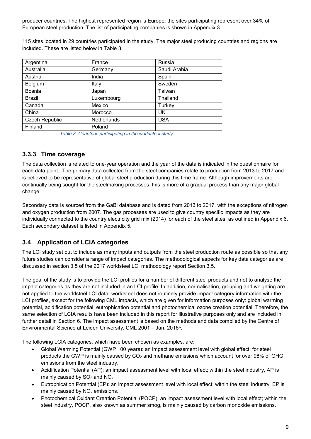producer countries. The highest represented region is Europe: the sites participating represent over 34% of European steel production. The list of participating companies is shown in Appendix 3.

115 sites located in 29 countries participated in the study. The major steel producing countries and regions are included. These are listed below in [Table 3.](#page-8-0)

| Argentina             | France      | Russia       |
|-----------------------|-------------|--------------|
| Australia             | Germany     | Saudi Arabia |
| Austria               | India       | Spain        |
| Belgium               | Italy       | Sweden       |
| Bosnia                | Japan       | Taiwan       |
| <b>Brazil</b>         | Luxembourg  | Thailand     |
| Canada                | Mexico      | Turkey       |
| China                 | Morocco     | UK           |
| <b>Czech Republic</b> | Netherlands | <b>USA</b>   |
| Finland               | Poland      |              |

*Table 3: Countries participating in the worldsteel study*

#### <span id="page-8-0"></span>**3.3.3 Time coverage**

The data collection is related to one-year operation and the year of the data is indicated in the questionnaire for each data point. The primary data collected from the steel companies relate to production from 2013 to 2017 and is believed to be representative of global steel production during this time frame. Although improvements are continually being sought for the steelmaking processes, this is more of a gradual process than any major global change.

Secondary data is sourced from the GaBi database and is dated from 2013 to 2017, with the exceptions of nitrogen and oxygen production from 2007. The gas processes are used to give country specific impacts as they are individually connected to the country electricity grid mix (2014) for each of the steel sites, as outlined in Appendix 6. Each secondary dataset is listed in Appendix 5.

#### <span id="page-8-1"></span>**3.4 Application of LCIA categories**

The LCI study set out to include as many inputs and outputs from the steel production route as possible so that any future studies can consider a range of impact categories. The methodological aspects for key data categories are discussed in section 3.5 of the 2017 worldsteel LCI methodology report Section 3.5.

The goal of the study is to provide the LCI profiles for a number of different steel products and not to analyse the impact categories as they are not included in an LCI profile. In addition, normalisation, grouping and weighting are not applied to the worldsteel LCI data. worldsteel does not routinely provide impact category information with the LCI profiles, except for the following CML impacts, which are given for information purposes only: global warming potential, acidification potential, eutrophication potential and photochemical ozone creation potential. Therefore, the same selection of LCIA results have been included in this report for illustrative purposes only and are included in further detail in Section [6.](#page-20-0) The impact assessment is based on the methods and data compiled by the Centre of Environmental Science at Leiden University, CML 2001 – Jan. 2016[6](#page-50-5).

The following LCIA categories, which have been chosen as examples, are:

- Global Warming Potential (GWP 100 years): an impact assessment level with global effect; for steel products the GWP is mainly caused by CO<sub>2</sub> and methane emissions which account for over 98% of GHG emissions from the steel industry.
- Acidification Potential (AP): an impact assessment level with local effect; within the steel industry, AP is mainly caused by  $SO<sub>2</sub>$  and  $NO<sub>x</sub>$ .
- Eutrophication Potential (EP): an impact assessment level with local effect; within the steel industry, EP is mainly caused by  $NO<sub>x</sub>$  emissions.
- Photochemical Oxidant Creation Potential (POCP): an impact assessment level with local effect; within the steel industry, POCP, also known as summer smog, is mainly caused by carbon monoxide emissions.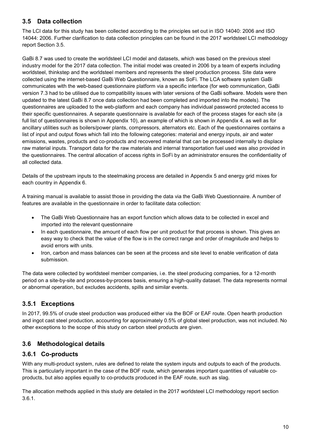### **3.5 Data collection**

The LCI data for this study has been collected according to the principles set out in ISO 14040: 2006 and ISO 14044: 2006. Further clarification to data collection principles can be found in the 2017 worldsteel LCI methodology report Section 3.5.

GaBi 8.7 was used to create the worldsteel LCI model and datasets, which was based on the previous steel industry model for the 2017 data collection. The initial model was created in 2006 by a team of experts including worldsteel, thinkstep and the worldsteel members and represents the steel production process. Site data were collected using the internet-based GaBi Web Questionnaire, known as SoFi. The LCA software system GaBi communicates with the web-based questionnaire platform via a specific interface (for web communication, GaBi version 7.3 had to be utilised due to compatibility issues with later versions of the GaBi software. Models were then updated to the latest GaBi 8.7 once data collection had been completed and imported into the models). The questionnaires are uploaded to the web-platform and each company has individual password protected access to their specific questionnaires. A separate questionnaire is available for each of the process stages for each site (a full list of questionnaires is shown in Appendix 10), an example of which is shown in Appendix 4, as well as for ancillary utilities such as boilers/power plants, compressors, alternators etc. Each of the questionnaires contains a list of input and output flows which fall into the following categories: material and energy inputs, air and water emissions, wastes, products and co-products and recovered material that can be processed internally to displace raw material inputs. Transport data for the raw materials and internal transportation fuel used was also provided in the questionnaires. The central allocation of access rights in SoFi by an administrator ensures the confidentiality of all collected data.

Details of the upstream inputs to the steelmaking process are detailed in Appendix 5 and energy grid mixes for each country in Appendix 6.

A training manual is available to assist those in providing the data via the GaBi Web Questionnaire. A number of features are available in the questionnaire in order to facilitate data collection:

- The GaBi Web Questionnaire has an export function which allows data to be collected in excel and imported into the relevant questionnaire
- In each questionnaire, the amount of each flow per unit product for that process is shown. This gives an easy way to check that the value of the flow is in the correct range and order of magnitude and helps to avoid errors with units.
- Iron, carbon and mass balances can be seen at the process and site level to enable verification of data submission.

The data were collected by worldsteel member companies, i.e. the steel producing companies, for a 12-month period on a site-by-site and process-by-process basis, ensuring a high-quality dataset. The data represents normal or abnormal operation, but excludes accidents, spills and similar events.

### **3.5.1 Exceptions**

In 2017, 99.5% of crude steel production was produced either via the BOF or EAF route. Open hearth production and ingot cast steel production, accounting for approximately 0.5% of global steel production, was not included. No other exceptions to the scope of this study on carbon steel products are given.

#### <span id="page-9-0"></span>**3.6 Methodological details**

#### **3.6.1 Co-products**

With any multi-product system, rules are defined to relate the system inputs and outputs to each of the products. This is particularly important in the case of the BOF route, which generates important quantities of valuable coproducts, but also applies equally to co-products produced in the EAF route, such as slag.

The allocation methods applied in this study are detailed in the 2017 worldsteel LCI methodology report section 3.6.1.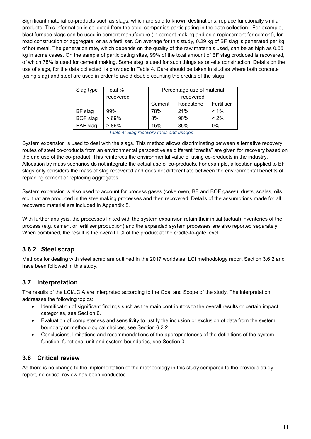Significant material co-products such as slags, which are sold to known destinations, replace functionally similar products. This information is collected from the steel companies participating in the data collection. For example, blast furnace slags can be used in cement manufacture (in cement making and as a replacement for cement), for road construction or aggregate, or as a fertiliser. On average for this study, 0.29 kg of BF slag is generated per kg of hot metal. The generation rate, which depends on the quality of the raw materials used, can be as high as 0.55 kg in some cases. On the sample of participating sites, 99% of the total amount of BF slag produced is recovered, of which 78% is used for cement making. Some slag is used for such things as on-site construction. Details on the use of slags, for the data collected, is provided in [Table 4.](#page-10-0) Care should be taken in studies where both concrete (using slag) and steel are used in order to avoid double counting the credits of the slags.

| Slag type       | Total %   | Percentage use of material        |     |         |  |
|-----------------|-----------|-----------------------------------|-----|---------|--|
|                 | recovered | recovered                         |     |         |  |
|                 |           | Roadstone<br>Fertiliser<br>Cement |     |         |  |
| BF slag         | 99%       | 78%                               | 21% | $< 1\%$ |  |
| <b>BOF</b> slag | $>69\%$   | 8%                                | 90% | $< 2\%$ |  |
| EAF slag        | > 86%     | 15%                               | 85% | $0\%$   |  |

 *Table 4: Slag recovery rates and usages*

<span id="page-10-1"></span><span id="page-10-0"></span>System expansion is used to deal with the slags. This method allows discriminating between alternative recovery routes of steel co-products from an environmental perspective as different "credits" are given for recovery based on the end use of the co-product. This reinforces the environmental value of using co-products in the industry. Allocation by mass scenarios do not integrate the actual use of co-products. For example, allocation applied to BF slags only considers the mass of slag recovered and does not differentiate between the environmental benefits of replacing cement or replacing aggregates.

System expansion is also used to account for process gases (coke oven, BF and BOF gases), dusts, scales, oils etc. that are produced in the steelmaking processes and then recovered. Details of the assumptions made for all recovered material are included in Appendix 8.

With further analysis, the processes linked with the system expansion retain their initial (actual) inventories of the process (e.g. cement or fertiliser production) and the expanded system processes are also reported separately. When combined, the result is the overall LCI of the product at the cradle-to-gate level.

### **3.6.2 Steel scrap**

Methods for dealing with steel scrap are outlined in the 2017 worldsteel LCI methodology report Section 3.6.2 and have been followed in this study.

### **3.7 Interpretation**

The results of the LCI/LCIA are interpreted according to the Goal and Scope of the study. The interpretation addresses the following topics:

- Identification of significant findings such as the main contributors to the overall results or certain impact categories, see Section [6.](#page-20-0)
- Evaluation of completeness and sensitivity to justify the inclusion or exclusion of data from the system boundary or methodological choices, see Section [6.2.2.](#page-24-1)
- Conclusions, limitations and recommendations of the appropriateness of the definitions of the system function, functional unit and system boundaries, see Section [0.](#page-26-0)

#### **3.8 Critical review**

As there is no change to the implementation of the methodology in this study compared to the previous study report, no critical review has been conducted.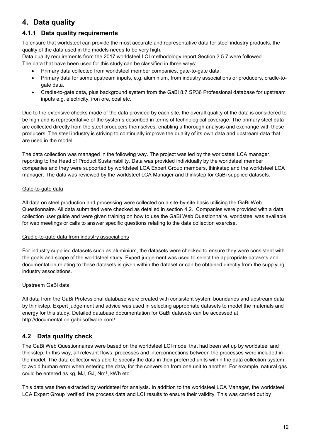# <span id="page-11-1"></span>**4. Data quality**

### **4.1.1 Data quality requirements**

To ensure that worldsteel can provide the most accurate and representative data for steel industry products, the quality of the data used in the models needs to be very high.

Data quality requirements from the 2017 worldsteel LCI methodology report Section 3.5.7 were followed. The data that have been used for this study can be classified in three ways:

- Primary data collected from worldsteel member companies, gate-to-gate data.
- Primary data for some upstream inputs, e.g. aluminium, from industry associations or producers, cradle-togate data.
- Cradle-to-gate data, plus background system from the GaBi 8.7 SP36 Professional database for upstream inputs e.g. electricity, iron ore, coal etc.

Due to the extensive checks made of the data provided by each site, the overall quality of the data is considered to be high and is representative of the systems described in terms of technological coverage. The primary steel data are collected directly from the steel producers themselves, enabling a thorough analysis and exchange with these producers. The steel industry is striving to continually improve the quality of its own data and upstream data that are used in the model.

The data collection was managed in the following way. The project was led by the worldsteel LCA manager, reporting to the Head of Product Sustainability. Data was provided individually by the worldsteel member companies and they were supported by worldsteel LCA Expert Group members, thinkstep and the worldsteel LCA manager. The data was reviewed by the worldsteel LCA Manager and thinkstep for GaBi supplied datasets.

#### Gate-to-gate data

All data on steel production and processing were collected on a site-by-site basis utilising the GaBi Web Questionnaire. All data submitted were checked as detailed in section [4.2.](#page-11-0) Companies were provided with a data collection user guide and were given training on how to use the GaBi Web Questionnaire. worldsteel was available for web meetings or calls to answer specific questions relating to the data collection exercise.

#### Cradle-to-gate data from industry associations

For industry supplied datasets such as aluminium, the datasets were checked to ensure they were consistent with the goals and scope of the worldsteel study. Expert judgement was used to select the appropriate datasets and documentation relating to these datasets is given within the dataset or can be obtained directly from the supplying industry associations.

#### Upstream GaBi data

All data from the GaBi Professional database were created with consistent system boundaries and upstream data by thinkstep. Expert judgement and advice was used in selecting appropriate datasets to model the materials and energy for this study. Detailed database documentation for GaBi datasets can be accessed at http://documentation.gabi-software.com/.

#### <span id="page-11-0"></span>**4.2 Data quality check**

The GaBi Web Questionnaires were based on the worldsteel LCI model that had been set up by worldsteel and thinkstep. In this way, all relevant flows, processes and interconnections between the processes were included in the model. The data collector was able to specify the data in their preferred units within the data collection system to avoid human error when entering the data, for the conversion from one unit to another. For example, natural gas could be entered as kg, MJ, GJ, Nm<sup>3</sup>, kWh etc.

This data was then extracted by worldsteel for analysis. In addition to the worldsteel LCA Manager, the worldsteel LCA Expert Group 'verified' the process data and LCI results to ensure their validity. This was carried out by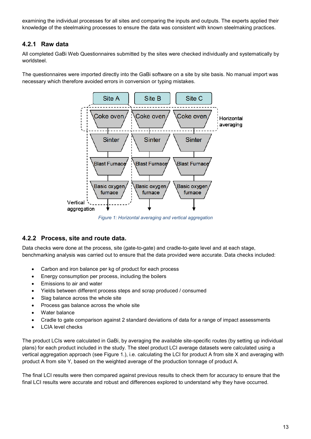examining the individual processes for all sites and comparing the inputs and outputs. The experts applied their knowledge of the steelmaking processes to ensure the data was consistent with known steelmaking practices.

#### **4.2.1 Raw data**

All completed GaBi Web Questionnaires submitted by the sites were checked individually and systematically by worldsteel.

The questionnaires were imported directly into the GaBi software on a site by site basis. No manual import was necessary which therefore avoided errors in conversion or typing mistakes.



*Figure 1: Horizontal averaging and vertical aggregation*

#### <span id="page-12-0"></span>**4.2.2 Process, site and route data.**

Data checks were done at the process, site (gate-to-gate) and cradle-to-gate level and at each stage, benchmarking analysis was carried out to ensure that the data provided were accurate. Data checks included:

- Carbon and iron balance per kg of product for each process
- Energy consumption per process, including the boilers
- Emissions to air and water
- Yields between different process steps and scrap produced / consumed
- Slag balance across the whole site
- Process gas balance across the whole site
- Water balance
- Cradle to gate comparison against 2 standard deviations of data for a range of impact assessments
- LCIA level checks

The product LCIs were calculated in GaBi, by averaging the available site-specific routes (by setting up individual plans) for each product included in the study. The steel product LCI average datasets were calculated using a vertical aggregation approach (see [Figure 1.](#page-12-0)), i.e. calculating the LCI for product A from site X and averaging with product A from site Y, based on the weighted average of the production tonnage of product A.

The final LCI results were then compared against previous results to check them for accuracy to ensure that the final LCI results were accurate and robust and differences explored to understand why they have occurred.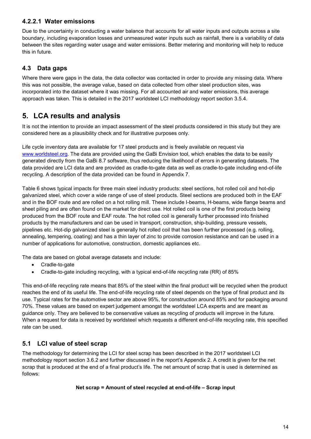#### **4.2.2.1 Water emissions**

Due to the uncertainty in conducting a water balance that accounts for all water inputs and outputs across a site boundary, including evaporation losses and unmeasured water inputs such as rainfall, there is a variability of data between the sites regarding water usage and water emissions. Better metering and monitoring will help to reduce this in future.

#### <span id="page-13-1"></span>**4.3 Data gaps**

Where there were gaps in the data, the data collector was contacted in order to provide any missing data. Where this was not possible, the average value, based on data collected from other steel production sites, was incorporated into the dataset where it was missing. For all accounted air and water emissions, this average approach was taken. This is detailed in the 2017 worldsteel LCI methodology report section 3.5.4.

# <span id="page-13-0"></span>**5. LCA results and analysis**

It is not the intention to provide an impact assessment of the steel products considered in this study but they are considered here as a plausibility check and for illustrative purposes only.

Life cycle inventory data are available for 17 steel products and is freely available on request via [www.worldsteel.org.](https://worldsteel-my.sharepoint.com/personal/millar_worldsteel_org/Documents/Methodology%20Report/www.worldsteel.org) The data are provided using the GaBi Envision tool, which enables the data to be easily generated directly from the GaBi 8.7 software, thus reducing the likelihood of errors in generating datasets. The data provided are LCI data and are provided as cradle-to-gate data as well as cradle-to-gate including end-of-life recycling. A description of the data provided can be found in Appendix 7.

[Table 6](#page-14-1) shows typical impacts for three main steel industry products: steel sections, hot rolled coil and hot-dip galvanized steel, which cover a wide range of use of steel products. Steel sections are produced both in the EAF and in the BOF route and are rolled on a hot rolling mill. These include I-beams, H-beams, wide flange beams and sheet piling and are often found on the market for direct use. Hot rolled coil is one of the first products being produced from the BOF route and EAF route. The hot rolled coil is generally further processed into finished products by the manufacturers and can be used in transport, construction, ship-building, pressure vessels, pipelines etc. Hot-dip galvanized steel is generally hot rolled coil that has been further processed (e.g. rolling, annealing, tempering, coating) and has a thin layer of zinc to provide corrosion resistance and can be used in a number of applications for automotive, construction, domestic appliances etc.

The data are based on global average datasets and include:

- Cradle-to-gate
- Cradle-to-gate including recycling, with a typical end-of-life recycling rate (RR) of 85%

This end-of-life recycling rate means that 85% of the steel within the final product will be recycled when the product reaches the end of its useful life. The end-of-life recycling rate of steel depends on the type of final product and its use. Typical rates for the automotive sector are above 95%, for construction around 85% and for packaging around 70%. These values are based on expert judgement amongst the worldsteel LCA experts and are meant as guidance only. They are believed to be conservative values as recycling of products will improve in the future. When a request for data is received by worldsteel which requests a different end-of-life recycling rate, this specified rate can be used.

### **5.1 LCI value of steel scrap**

The methodology for determining the LCI for steel scrap has been described in the 2017 worldsteel LCI methodology report section 3.6.2 and further discussed in the report's Appendix 2. A credit is given for the net scrap that is produced at the end of a final product's life. The net amount of scrap that is used is determined as follows:

#### **Net scrap = Amount of steel recycled at end-of-life – Scrap input**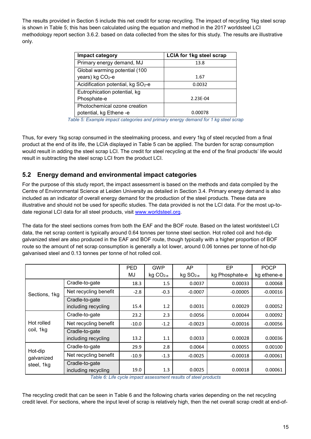The results provided in Section [5](#page-13-0) include this net credit for scrap recycling. The impact of recycling 1kg steel scrap is shown in [Table 5;](#page-14-0) this has been calculated using the equation and method in the 2017 worldsteel LCI methodology report section 3.6.2. based on data collected from the sites for this study. The results are illustrative only.

| Impact category                                | <b>LCIA for 1kg steel scrap</b> |  |  |
|------------------------------------------------|---------------------------------|--|--|
| Primary energy demand, MJ                      | 13.8                            |  |  |
| Global warming potential (100                  |                                 |  |  |
| years) kg CO <sub>2-e</sub>                    | 1.67                            |  |  |
| Acidification potential, kg SO <sub>2</sub> -e | 0.0032                          |  |  |
| Eutrophication potential, kg                   |                                 |  |  |
| Phosphate-e                                    | 2.23E-04                        |  |  |
| Photochemical ozone creation                   |                                 |  |  |
| potential, kg Ethene -e                        | 0.00078                         |  |  |

*Table 5: Example impact categories and primary energy demand for 1 kg steel scrap*

<span id="page-14-0"></span>Thus, for every 1kg scrap consumed in the steelmaking process, and every 1kg of steel recycled from a final product at the end of its life, the LCIA displayed in [Table 5](#page-14-0) can be applied. The burden for scrap consumption would result in adding the steel scrap LCI. The credit for steel recycling at the end of the final products' life would result in subtracting the steel scrap LCI from the product LCI.

#### **5.2 Energy demand and environmental impact categories**

For the purpose of this study report, the impact assessment is based on the methods and data compiled by the Centre of Environmental Science at Leiden University as detailed in Section [3.4.](#page-8-1) Primary energy demand is also included as an indicator of overall energy demand for the production of the steel products. These data are illustrative and should not be used for specific studies. The data provided is not the LCI data. For the most up-todate regional LCI data for all steel products, visit [www.worldsteel.org.](https://worldsteel-my.sharepoint.com/personal/millar_worldsteel_org/Documents/Methodology%20Report/www.worldsteel.org)

The data for the steel sections comes from both the EAF and the BOF route. Based on the latest worldsteel LCI data, the net scrap content is typically around 0.64 tonnes per tonne steel section. Hot rolled coil and hot-dip galvanized steel are also produced in the EAF and BOF route, though typically with a higher proportion of BOF route so the amount of net scrap consumption is generally a lot lower, around 0.06 tonnes per tonne of hot-dip galvanised steel and 0.13 tonnes per tonne of hot rolled coil.

|                       |                                       | <b>PED</b> | <b>GWP</b> | AP         | EP             | <b>POCP</b> |
|-----------------------|---------------------------------------|------------|------------|------------|----------------|-------------|
|                       |                                       | MJ         | $kg CO2-e$ | $kg SO2-e$ | kg Phosphate-e | kg ethene-e |
|                       | Cradle-to-gate                        | 18.3       | 1.5        | 0.0037     | 0.00033        | 0.00068     |
| Sections, 1kg         | Net recycling benefit                 | $-2.8$     | $-0.3$     | $-0.0007$  | $-0.00005$     | $-0.00016$  |
|                       | Cradle-to-gate<br>including recycling | 15.4       | 1.2        | 0.0031     | 0.00029        | 0.00052     |
|                       | Cradle-to-gate                        | 23.2       | 2.3        | 0.0056     | 0.00044        | 0.00092     |
| Hot rolled            | Net recycling benefit                 | $-10.0$    | $-1.2$     | $-0.0023$  | $-0.00016$     | $-0.00056$  |
| coil, 1kg             | Cradle-to-gate<br>including recycling | 13.2       | 1.1        | 0.0033     | 0.00028        | 0.00036     |
|                       | Cradle-to-gate                        | 29.9       | 2.8        | 0.0064     | 0.00055        | 0.00100     |
| Hot-dip<br>galvanized | Net recycling benefit                 | $-10.9$    | $-1.3$     | $-0.0025$  | $-0.00018$     | $-0.00061$  |
| steel, 1kg            | Cradle-to-gate<br>including recycling | 19.0       | 1.3        | 0.0025     | 0.00018        | 0.00061     |

*Table 6: Life cycle impact assessment results of steel products*

<span id="page-14-1"></span>The recycling credit that can be seen in [Table 6](#page-14-1) and the following charts varies depending on the net recycling credit level. For sections, where the input level of scrap is relatively high, then the net overall scrap credit at end-of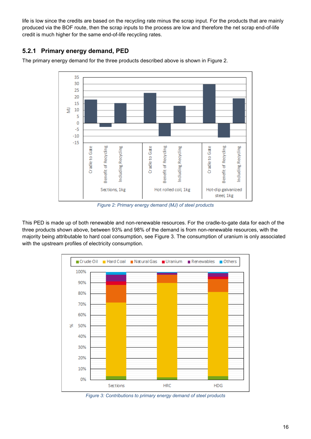life is low since the credits are based on the recycling rate minus the scrap input. For the products that are mainly produced via the BOF route, then the scrap inputs to the process are low and therefore the net scrap end-of-life credit is much higher for the same end-of-life recycling rates.

### **5.2.1 Primary energy demand, PED**

The primary energy demand for the three products described above is shown in [Figure 2.](#page-15-0)



*Figure 2: Primary energy demand (MJ) of steel products*

<span id="page-15-0"></span>This PED is made up of both renewable and non-renewable resources. For the cradle-to-gate data for each of the three products shown above, between 93% and 98% of the demand is from non-renewable resources, with the majority being attributable to hard coal consumption, see [Figure 3.](#page-15-1) The consumption of uranium is only associated with the upstream profiles of electricity consumption.



<span id="page-15-1"></span>*Figure 3: Contributions to primary energy demand of steel products*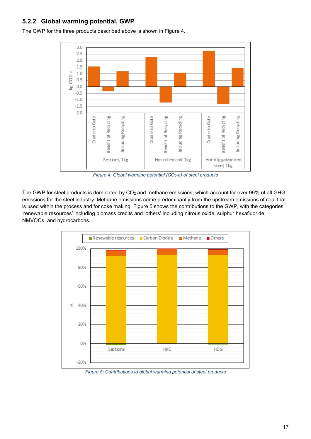#### **5.2.2 Global warming potential, GWP**

 $3.0$  $2.5$  $2.0$  $1.5$  $CO<sub>2-e</sub>$  $1.0$  $0.5$  $0.0$ 뽀  $-0.5$  $-1.0$  $-1.5$  $-2.0$ Benefit of Recycling Benefit of Recycling Benefit of Recycling 얃 Cradle to Gate Including Recycling Cradle to Gate Including Recycling Cradle to Gate Including Recycli Sections, 1kg Hot rolled coil, 1kg Hot-dip galvanized steel, 1kg

The GWP for the three products described above is shown in [Figure 4.](#page-16-0)

*Figure 4: Global warming potential (CO2-e) of steel products*

<span id="page-16-0"></span>The GWP for steel products is dominated by CO<sub>2</sub> and methane emissions, which account for over 99% of all GHG emissions for the steel industry. Methane emissions come predominantly from the upstream emissions of coal that is used within the process and for coke making. [Figure 5](#page-16-1) shows the contributions to the GWP, with the categories 'renewable resources' including biomass credits and 'others' including nitrous oxide, sulphur hexafluoride, NMVOCs, and hydrocarbons.



<span id="page-16-1"></span>*Figure 5: Contributions to global warming potential of steel products*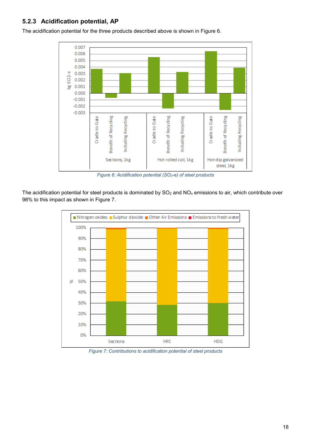#### **5.2.3 Acidification potential, AP**





*Figure 6: Acidification potential (SO2-e) of steel products*

<span id="page-17-0"></span>The acidification potential for steel products is dominated by  $SO_2$  and  $NO_x$  emissions to air, which contribute over 98% to this impact as shown in [Figure 7.](#page-17-1)



<span id="page-17-1"></span>*Figure 7: Contributions to acidification potential of steel products*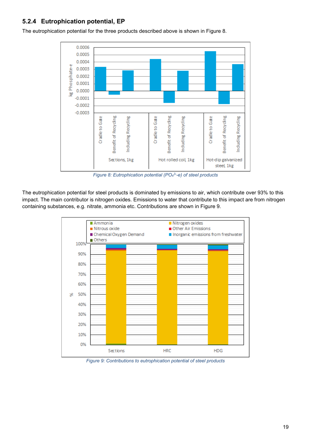#### **5.2.4 Eutrophication potential, EP**



The eutrophication potential for the three products described above is shown in [Figure 8.](#page-18-0)

*Figure 8: Eutrophication potential (PO4 3- -e) of steel products*

<span id="page-18-0"></span>The eutrophication potential for steel products is dominated by emissions to air, which contribute over 93% to this impact. The main contributor is nitrogen oxides. Emissions to water that contribute to this impact are from nitrogen containing substances, e.g. nitrate, ammonia etc. Contributions are shown in [Figure 9.](#page-18-1)



<span id="page-18-1"></span>*Figure 9: Contributions to eutrophication potential of steel products*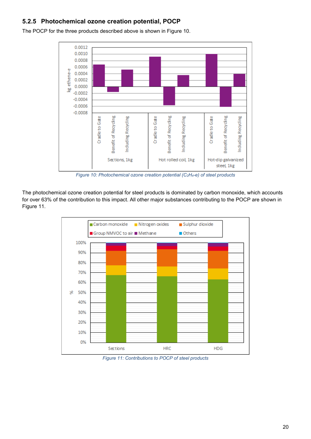#### **5.2.5 Photochemical ozone creation potential, POCP**



The POCP for the three products described above is shown in [Figure 10.](#page-19-0)

*Figure 10: Photochemical ozone creation potential (C2H4-e) of steel products*

<span id="page-19-0"></span>The photochemical ozone creation potential for steel products is dominated by carbon monoxide, which accounts for over 63% of the contribution to this impact. All other major substances contributing to the POCP are shown in [Figure 11.](#page-19-1)



<span id="page-19-1"></span>*Figure 11: Contributions to POCP of steel products*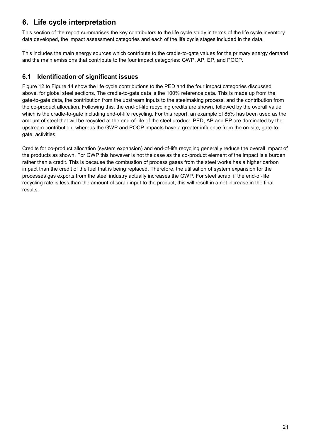# <span id="page-20-0"></span>**6. Life cycle interpretation**

This section of the report summarises the key contributors to the life cycle study in terms of the life cycle inventory data developed, the impact assessment categories and each of the life cycle stages included in the data.

This includes the main energy sources which contribute to the cradle-to-gate values for the primary energy demand and the main emissions that contribute to the four impact categories: GWP, AP, EP, and POCP.

### **6.1 Identification of significant issues**

[Figure 12](#page-21-0) to [Figure 14](#page-23-0) show the life cycle contributions to the PED and the four impact categories discussed above, for global steel sections. The cradle-to-gate data is the 100% reference data. This is made up from the gate-to-gate data, the contribution from the upstream inputs to the steelmaking process, and the contribution from the co-product allocation. Following this, the end-of-life recycling credits are shown, followed by the overall value which is the cradle-to-gate including end-of-life recycling. For this report, an example of 85% has been used as the amount of steel that will be recycled at the end-of-life of the steel product. PED, AP and EP are dominated by the upstream contribution, whereas the GWP and POCP impacts have a greater influence from the on-site, gate-togate, activities.

Credits for co-product allocation (system expansion) and end-of-life recycling generally reduce the overall impact of the products as shown. For GWP this however is not the case as the co-product element of the impact is a burden rather than a credit. This is because the combustion of process gases from the steel works has a higher carbon impact than the credit of the fuel that is being replaced. Therefore, the utilisation of system expansion for the processes gas exports from the steel industry actually increases the GWP. For steel scrap, if the end-of-life recycling rate is less than the amount of scrap input to the product, this will result in a net increase in the final results.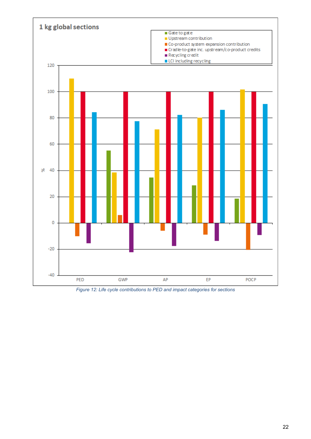

<span id="page-21-0"></span>*Figure 12: Life cycle contributions to PED and impact categories for sections*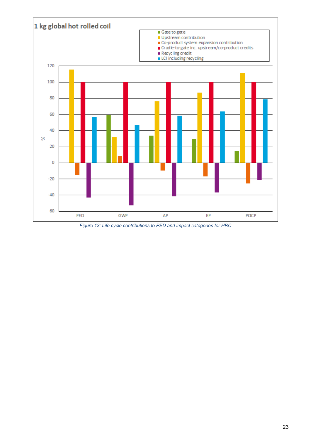

<span id="page-22-0"></span>*Figure 13: Life cycle contributions to PED and impact categories for HRC*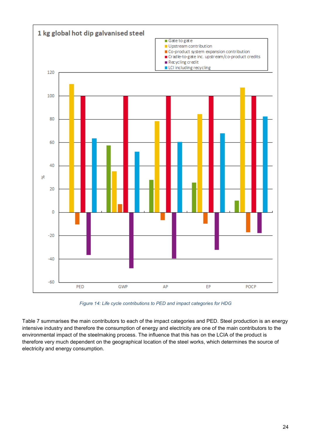

*Figure 14: Life cycle contributions to PED and impact categories for HDG*

<span id="page-23-0"></span>[Table 7](#page-24-0) summarises the main contributors to each of the impact categories and PED. Steel production is an energy intensive industry and therefore the consumption of energy and electricity are one of the main contributors to the environmental impact of the steelmaking process. The influence that this has on the LCIA of the product is therefore very much dependent on the geographical location of the steel works, which determines the source of electricity and energy consumption.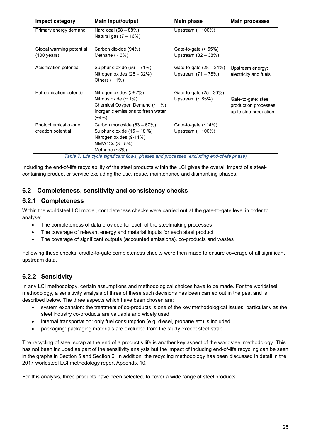| Impact category                           | <b>Main input/output</b>                                                                                                            | <b>Main phase</b>                                   | <b>Main processes</b>                                                |
|-------------------------------------------|-------------------------------------------------------------------------------------------------------------------------------------|-----------------------------------------------------|----------------------------------------------------------------------|
| Primary energy demand                     | Hard coal $(68 - 88%)$<br>Natural gas $(7 - 16%)$                                                                                   | Upstream $($ ~ 100%)                                |                                                                      |
| Global warming potential                  | Carbon dioxide (94%)                                                                                                                | Gate-to-gate $($ > 55%)                             |                                                                      |
| $(100 \text{ years})$                     | Methane $(~6%)$                                                                                                                     | Upstream $(32 - 38%)$                               |                                                                      |
| Acidification potential                   | Sulphur dioxide (66 - 71%)<br>Nitrogen oxides (28 - 32%)<br>Others $($ ~1%)                                                         | Gate-to-gate (28 - 34%)<br>Upstream (71 – 78%)      | Upstream energy:<br>electricity and fuels                            |
| Eutrophication potential                  | Nitrogen oxides (>92%)<br>Nitrous oxide $($ ~ 1%)<br>Chemical Oxygen Demand (~ 1%)<br>Inorganic emissions to fresh water<br>$(-4%)$ | Gate-to-gate (25 - 30%)<br>Upstream $($ $\sim$ 85%) | Gate-to-gate: steel<br>production processes<br>up to slab production |
| Photochemical ozone<br>creation potential | Carbon monoxide (63 - 67%)<br>Sulphur dioxide (15 - 18 %)<br>Nitrogen oxides (9-11%)<br>NMVOCs (3 - 5%)<br>Methane $(\sim3\%)$      | Gate-to-gate (~14%)<br>Upstream $($ ~ 100%)         |                                                                      |

*Table 7: Life cycle significant flows, phases and processes (excluding end-of-life phase)*

<span id="page-24-0"></span>Including the end-of-life recyclability of the steel products within the LCI gives the overall impact of a steelcontaining product or service excluding the use, reuse, maintenance and dismantling phases.

#### **6.2 Completeness, sensitivity and consistency checks**

#### **6.2.1 Completeness**

Within the worldsteel LCI model, completeness checks were carried out at the gate-to-gate level in order to analyse:

- The completeness of data provided for each of the steelmaking processes
- The coverage of relevant energy and material inputs for each steel product
- The coverage of significant outputs (accounted emissions), co-products and wastes

Following these checks, cradle-to-gate completeness checks were then made to ensure coverage of all significant upstream data.

#### <span id="page-24-1"></span>**6.2.2 Sensitivity**

In any LCI methodology, certain assumptions and methodological choices have to be made. For the worldsteel methodology, a sensitivity analysis of three of these such decisions has been carried out in the past and is described below. The three aspects which have been chosen are:

- system expansion: the treatment of co-products is one of the key methodological issues, particularly as the steel industry co-products are valuable and widely used
- internal transportation: only fuel consumption (e.g. diesel, propane etc) is included
- packaging: packaging materials are excluded from the study except steel strap.

The recycling of steel scrap at the end of a product's life is another key aspect of the worldsteel methodology. This has not been included as part of the sensitivity analysis but the impact of including end-of-life recycling can be seen in the graphs in Section [5](#page-13-0) and Section [6.](#page-20-0) In addition, the recycling methodology has been discussed in detail in the 2017 worldsteel LCI methodology report Appendix 10.

For this analysis, three products have been selected, to cover a wide range of steel products.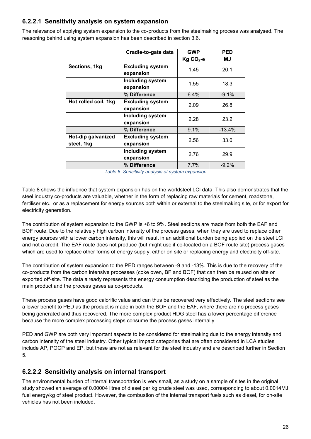#### **6.2.2.1 Sensitivity analysis on system expansion**

The relevance of applying system expansion to the co-products from the steelmaking process was analysed. The reasoning behind using system expansion has been described in section [3.6.](#page-9-0)

|                                  | Cradle-to-gate data                  | <b>GWP</b> | <b>PED</b> |
|----------------------------------|--------------------------------------|------------|------------|
|                                  |                                      | $Kg CO2-e$ | ΜJ         |
| Sections, 1kg                    | <b>Excluding system</b><br>expansion | 1.45       | 20.1       |
|                                  | <b>Including system</b><br>expansion | 1.55       | 18.3       |
|                                  | % Difference                         | 6.4%       | $-9.1%$    |
| Hot rolled coil, 1kg             | <b>Excluding system</b><br>expansion | 2.09       | 26.8       |
|                                  | <b>Including system</b><br>expansion | 2.28       | 23.2       |
|                                  | % Difference                         | 9.1%       | $-13.4%$   |
| Hot-dip galvanized<br>steel, 1kg | <b>Excluding system</b><br>expansion | 2.56       | 33.0       |
|                                  | <b>Including system</b><br>expansion | 2.76       | 29.9       |
|                                  | % Difference                         | 7.7%       | $-9.2%$    |

*Table 8: Sensitivity analysis of system expansion*

<span id="page-25-0"></span>[Table 8](#page-25-0) shows the influence that system expansion has on the worldsteel LCI data. This also demonstrates that the steel industry co-products are valuable, whether in the form of replacing raw materials for cement, roadstone, fertiliser etc., or as a replacement for energy sources both within or external to the steelmaking site, or for export for electricity generation.

The contribution of system expansion to the GWP is +6 to 9%. Steel sections are made from both the EAF and BOF route. Due to the relatively high carbon intensity of the process gases, when they are used to replace other energy sources with a lower carbon intensity, this will result in an additional burden being applied on the steel LCI and not a credit. The EAF route does not produce (but might use if co-located on a BOF route site) process gases which are used to replace other forms of energy supply, either on site or replacing energy and electricity off-site.

The contribution of system expansion to the PED ranges between -9 and -13%. This is due to the recovery of the co-products from the carbon intensive processes (coke oven, BF and BOF) that can then be reused on site or exported off-site. The data already represents the energy consumption describing the production of steel as the main product and the process gases as co-products.

These process gases have good calorific value and can thus be recovered very effectively. The steel sections see a lower benefit to PED as the product is made in both the BOF and the EAF, where there are no process gases being generated and thus recovered. The more complex product HDG steel has a lower percentage difference because the more complex processing steps consume the process gases internally.

PED and GWP are both very important aspects to be considered for steelmaking due to the energy intensity and carbon intensity of the steel industry. Other typical impact categories that are often considered in LCA studies include AP, POCP and EP, but these are not as relevant for the steel industry and are described further in Section [5.](#page-13-0)

#### **6.2.2.2 Sensitivity analysis on internal transport**

The environmental burden of internal transportation is very small, as a study on a sample of sites in the original study showed an average of 0.00004 litres of diesel per kg crude steel was used, corresponding to about 0.0014MJ fuel energy/kg of steel product. However, the combustion of the internal transport fuels such as diesel, for on-site vehicles has not been included.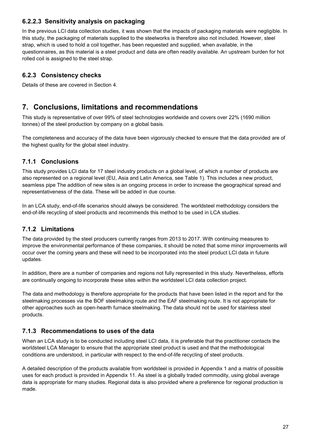#### **6.2.2.3 Sensitivity analysis on packaging**

In the previous LCI data collection studies, it was shown that the impacts of packaging materials were negligible. In this study, the packaging of materials supplied to the steelworks is therefore also not included. However, steel strap, which is used to hold a coil together, has been requested and supplied, when available, in the questionnaires, as this material is a steel product and data are often readily available. An upstream burden for hot rolled coil is assigned to the steel strap.

### **6.2.3 Consistency checks**

<span id="page-26-0"></span>Details of these are covered in Section [4.](#page-11-1)

# **7. Conclusions, limitations and recommendations**

This study is representative of over 99% of steel technologies worldwide and covers over 22% (1690 million tonnes) of the steel production by company on a global basis.

The completeness and accuracy of the data have been vigorously checked to ensure that the data provided are of the highest quality for the global steel industry.

### **7.1.1 Conclusions**

This study provides LCI data for 17 steel industry products on a global level, of which a number of products are also represented on a regional level (EU, Asia and Latin America, see [Table 1\)](#page-6-0). This includes a new product, seamless pipe The addition of new sites is an ongoing process in order to increase the geographical spread and representativeness of the data. These will be added in due course.

In an LCA study, end-of-life scenarios should always be considered. The worldsteel methodology considers the end-of-life recycling of steel products and recommends this method to be used in LCA studies.

#### **7.1.2 Limitations**

The data provided by the steel producers currently ranges from 2013 to 2017. With continuing measures to improve the environmental performance of these companies, it should be noted that some minor improvements will occur over the coming years and these will need to be incorporated into the steel product LCI data in future updates.

In addition, there are a number of companies and regions not fully represented in this study. Nevertheless, efforts are continually ongoing to incorporate these sites within the worldsteel LCI data collection project.

The data and methodology is therefore appropriate for the products that have been listed in the report and for the steelmaking processes via the BOF steelmaking route and the EAF steelmaking route. It is not appropriate for other approaches such as open-hearth furnace steelmaking. The data should not be used for stainless steel products.

#### **7.1.3 Recommendations to uses of the data**

When an LCA study is to be conducted including steel LCI data, it is preferable that the practitioner contacts the worldsteel LCA Manager to ensure that the appropriate steel product is used and that the methodological conditions are understood, in particular with respect to the end-of-life recycling of steel products.

A detailed description of the products available from worldsteel is provided in Appendix 1 and a matrix of possible uses for each product is provided in Appendix 11. As steel is a globally traded commodity, using global average data is appropriate for many studies. Regional data is also provided where a preference for regional production is made.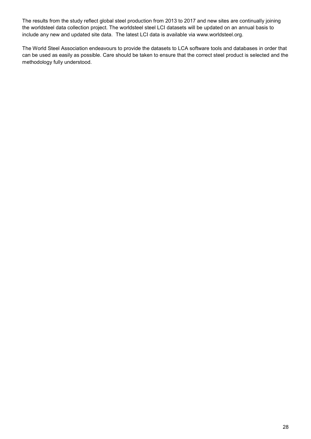The results from the study reflect global steel production from 2013 to 2017 and new sites are continually joining the worldsteel data collection project. The worldsteel steel LCI datasets will be updated on an annual basis to include any new and updated site data. The latest LCI data is available via www.worldsteel.org.

The World Steel Association endeavours to provide the datasets to LCA software tools and databases in order that can be used as easily as possible. Care should be taken to ensure that the correct steel product is selected and the methodology fully understood.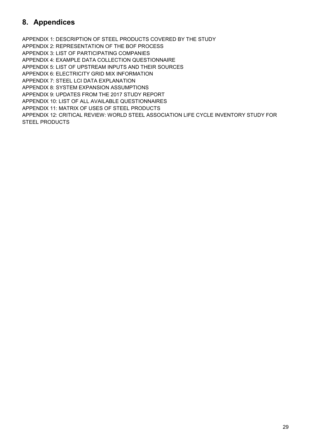# **8. Appendices**

APPENDIX 1: DESCRIPTION OF STEEL PRODUCTS COVERED BY THE STUDY APPENDIX 2: REPRESENTATION OF THE BOF PROCESS APPENDIX 3: LIST OF PARTICIPATING COMPANIES APPENDIX 4: EXAMPLE DATA COLLECTION QUESTIONNAIRE APPENDIX 5: LIST OF UPSTREAM INPUTS AND THEIR SOURCES APPENDIX 6: ELECTRICITY GRID MIX INFORMATION APPENDIX 7: STEEL LCI DATA EXPLANATION APPENDIX 8: SYSTEM EXPANSION ASSUMPTIONS APPENDIX 9: UPDATES FROM THE 2017 STUDY REPORT APPENDIX 10: LIST OF ALL AVAILABLE QUESTIONNAIRES APPENDIX 11: MATRIX OF USES OF STEEL PRODUCTS APPENDIX 12: CRITICAL REVIEW: WORLD STEEL ASSOCIATION LIFE CYCLE INVENTORY STUDY FOR STEEL PRODUCTS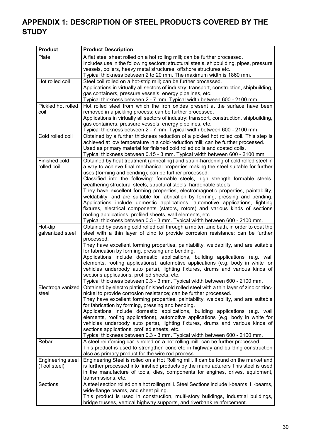# **APPENDIX 1: DESCRIPTION OF STEEL PRODUCTS COVERED BY THE STUDY**

| <b>Product</b>             | <b>Product Description</b>                                                                                                                                       |
|----------------------------|------------------------------------------------------------------------------------------------------------------------------------------------------------------|
| Plate                      | A flat steel sheet rolled on a hot rolling mill; can be further processed.                                                                                       |
|                            | Includes use in the following sectors: structural steels, shipbuilding, pipes, pressure                                                                          |
|                            | vessels, boilers, heavy metal structures, offshore structures etc.<br>Typical thickness between 2 to 20 mm. The maximum width is 1860 mm.                        |
| Hot rolled coil            | Steel coil rolled on a hot-strip mill; can be further processed.                                                                                                 |
|                            | Applications in virtually all sectors of industry: transport, construction, shipbuilding,                                                                        |
|                            | gas containers, pressure vessels, energy pipelines, etc.                                                                                                         |
|                            | Typical thickness between 2 - 7 mm. Typical width between 600 - 2100 mm                                                                                          |
| Pickled hot rolled<br>coil | Hot rolled steel from which the iron oxides present at the surface have been<br>removed in a pickling process; can be further processed.                         |
|                            | Applications in virtually all sectors of industry: transport, construction, shipbuilding,                                                                        |
|                            | gas containers, pressure vessels, energy pipelines, etc.                                                                                                         |
|                            | Typical thickness between 2 - 7 mm. Typical width between 600 - 2100 mm                                                                                          |
| Cold rolled coil           | Obtained by a further thickness reduction of a pickled hot rolled coil. This step is                                                                             |
|                            | achieved at low temperature in a cold-reduction mill; can be further processed.<br>Used as primary material for finished cold rolled coils and coated coils.     |
|                            | Typical thickness between 0.15 - 3 mm. Typical width between 600 - 2100 mm                                                                                       |
| Finished cold              | Obtained by heat treatment (annealing) and strain-hardening of cold rolled steel in                                                                              |
| rolled coil                | a way to achieve final mechanical properties making the steel suitable for further                                                                               |
|                            | uses (forming and bending); can be further processed.                                                                                                            |
|                            | Classified into the following: formable steels, high strength formable steels,<br>weathering structural steels, structural steels, hardenable steels.            |
|                            | They have excellent forming properties, electromagnetic properties, paintability,                                                                                |
|                            | weldability, and are suitable for fabrication by forming, pressing and bending.                                                                                  |
|                            | Applications include domestic applications, automotive applications, lighting                                                                                    |
|                            | fixtures, electrical components (stators, rotors) and various kinds of sections                                                                                  |
|                            | roofing applications, profiled sheets, wall elements, etc.<br>Typical thickness between 0.3 - 3 mm. Typical width between 600 - 2100 mm.                         |
| Hot-dip                    | Obtained by passing cold rolled coil through a molten zinc bath, in order to coat the                                                                            |
| galvanized steel           | steel with a thin layer of zinc to provide corrosion resistance; can be further                                                                                  |
|                            | processed.                                                                                                                                                       |
|                            | They have excellent forming properties, paintability, weldability, and are suitable<br>for fabrication by forming, pressing and bending.                         |
|                            | Applications include domestic applications, building applications (e.g. wall                                                                                     |
|                            | elements, roofing applications), automotive applications (e.g. body in white for                                                                                 |
|                            | vehicles underbody auto parts), lighting fixtures, drums and various kinds of                                                                                    |
|                            | sections applications, profiled sheets, etc.<br>Typical thickness between 0.3 - 3 mm. Typical width between 600 - 2100 mm.                                       |
| Electrogalvanized          | Obtained by electro plating finished cold rolled steel with a thin layer of zinc or zinc-                                                                        |
| steel                      | nickel to provide corrosion resistance; can be further processed.                                                                                                |
|                            | They have excellent forming properties, paintability, weldability, and are suitable                                                                              |
|                            | for fabrication by forming, pressing and bending.                                                                                                                |
|                            | Applications include domestic applications, building applications (e.g. wall<br>elements, roofing applications), automotive applications (e.g. body in white for |
|                            | vehicles underbody auto parts), lighting fixtures, drums and various kinds of                                                                                    |
|                            | sections applications, profiled sheets, etc.                                                                                                                     |
|                            | Typical thickness between 0.3 - 3 mm. Typical width between 600 - 2100 mm.                                                                                       |
| Rebar                      | A steel reinforcing bar is rolled on a hot rolling mill; can be further processed.                                                                               |
|                            | This product is used to strengthen concrete in highway and building construction<br>also as primary product for the wire rod process.                            |
| Engineering steel          | Engineering Steel is rolled on a Hot Rolling mill. It can be found on the market and                                                                             |
| (Tool steel)               | is further processed into finished products by the manufacturers This steel is used                                                                              |
|                            | in the manufacture of tools, dies, components for engines, drives, equipment,                                                                                    |
|                            | transmissions, etc.                                                                                                                                              |
| Sections                   | A steel section rolled on a hot rolling mill. Steel Sections include I-beams, H-beams,<br>wide-flange beams, and sheet piling.                                   |
|                            | This product is used in construction, multi-story buildings, industrial buildings,                                                                               |
|                            | bridge trusses, vertical highway supports, and riverbank reinforcement.                                                                                          |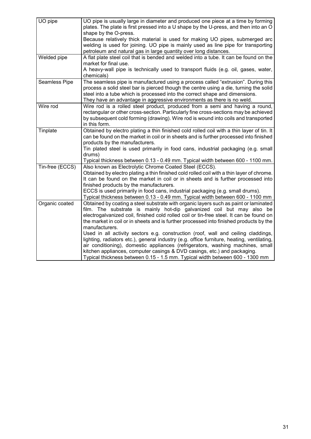| UO pipe         | UO pipe is usually large in diameter and produced one piece at a time by forming<br>plates. The plate is first pressed into a U shape by the U-press, and then into an O<br>shape by the O-press. |
|-----------------|---------------------------------------------------------------------------------------------------------------------------------------------------------------------------------------------------|
|                 | Because relatively thick material is used for making UO pipes, submerged arc                                                                                                                      |
|                 | welding is used for joining. UO pipe is mainly used as line pipe for transporting                                                                                                                 |
|                 | petroleum and natural gas in large quantity over long distances.                                                                                                                                  |
| Welded pipe     | A flat plate steel coil that is bended and welded into a tube. It can be found on the                                                                                                             |
|                 | market for final use.                                                                                                                                                                             |
|                 | A heavy-wall pipe is technically used to transport fluids (e.g. oil, gases, water,                                                                                                                |
|                 | chemicals)                                                                                                                                                                                        |
| Seamless Pipe   | The seamless pipe is manufactured using a process called "extrusion". During this                                                                                                                 |
|                 | process a solid steel bar is pierced though the centre using a die, turning the solid                                                                                                             |
|                 | steel into a tube which is processed into the correct shape and dimensions.                                                                                                                       |
|                 | They have an advantage in aggressive environments as there is no weld.                                                                                                                            |
| Wire rod        | Wire rod is a rolled steel product, produced from a semi and having a round,                                                                                                                      |
|                 | rectangular or other cross-section. Particularly fine cross-sections may be achieved                                                                                                              |
|                 | by subsequent cold forming (drawing). Wire rod is wound into coils and transported<br>in this form.                                                                                               |
| Tinplate        | Obtained by electro plating a thin finished cold rolled coil with a thin layer of tin. It                                                                                                         |
|                 | can be found on the market in coil or in sheets and is further processed into finished                                                                                                            |
|                 | products by the manufacturers.                                                                                                                                                                    |
|                 | Tin plated steel is used primarily in food cans, industrial packaging (e.g. small                                                                                                                 |
|                 | drums)                                                                                                                                                                                            |
|                 | Typical thickness between 0.13 - 0.49 mm. Typical width between 600 - 1100 mm.                                                                                                                    |
| Tin-free (ECCS) | Also known as Electrolytic Chrome Coated Steel (ECCS).                                                                                                                                            |
|                 | Obtained by electro plating a thin finished cold rolled coil with a thin layer of chrome.                                                                                                         |
|                 | It can be found on the market in coil or in sheets and is further processed into                                                                                                                  |
|                 | finished products by the manufacturers.                                                                                                                                                           |
|                 | ECCS is used primarily in food cans, industrial packaging (e.g. small drums).                                                                                                                     |
|                 | Typical thickness between 0.13 - 0.49 mm. Typical width between 600 - 1100 mm                                                                                                                     |
| Organic coated  | Obtained by coating a steel substrate with organic layers such as paint or laminated                                                                                                              |
|                 | film. The substrate is mainly hot-dip galvanized coil but may also be                                                                                                                             |
|                 | electrogalvanized coil, finished cold rolled coil or tin-free steel. It can be found on<br>the market in coil or in sheets and is further processed into finished products by the                 |
|                 | manufacturers.                                                                                                                                                                                    |
|                 | Used in all activity sectors e.g. construction (roof, wall and ceiling claddings,                                                                                                                 |
|                 | lighting, radiators etc.), general industry (e.g. office furniture, heating, ventilating,                                                                                                         |
|                 | air conditioning), domestic appliances (refrigerators, washing machines, small                                                                                                                    |
|                 | kitchen appliances, computer casings & DVD casings, etc.) and packaging.                                                                                                                          |
|                 | Typical thickness between 0.15 - 1.5 mm. Typical width between 600 - 1300 mm                                                                                                                      |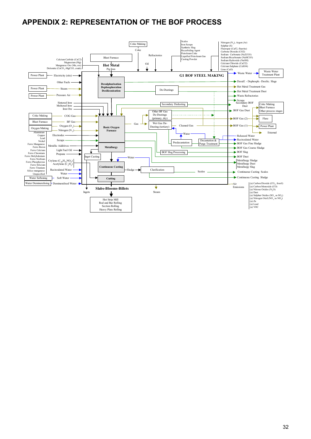# **APPENDIX 2: REPRESENTATION OF THE BOF PROCESS**

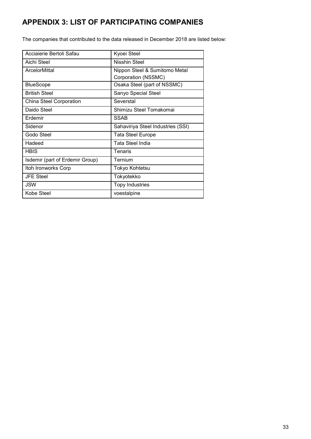# **APPENDIX 3: LIST OF PARTICIPATING COMPANIES**

The companies that contributed to the data released in December 2018 are listed below:

| Acciaierie Bertoli Safau        | Kyoei Steel                                          |
|---------------------------------|------------------------------------------------------|
| Aichi Steel                     | Nisshin Steel                                        |
| ArcelorMittal                   | Nippon Steel & Sumitomo Metal<br>Corporation (NSSMC) |
| <b>BlueScope</b>                | Osaka Steel (part of NSSMC)                          |
| <b>British Steel</b>            | Sanyo Special Steel                                  |
| <b>China Steel Corporation</b>  | Severstal                                            |
| Daido Steel                     | Shimizu Steel Tomakomai                              |
| Erdemir                         | <b>SSAB</b>                                          |
| Sidenor                         | Sahaviriya Steel Industries (SSI)                    |
| Godo Steel                      | <b>Tata Steel Europe</b>                             |
| Hadeed                          | Tata Steel India                                     |
| <b>HBIS</b>                     | Tenaris                                              |
| Isdemir (part of Erdemir Group) | Ternium                                              |
| Itoh Ironworks Corp             | Tokyo Kohtetsu                                       |
| <b>JFE Steel</b>                | Tokyotekko                                           |
| JSW                             | <b>Topy Industries</b>                               |
| Kobe Steel                      | voestalpine                                          |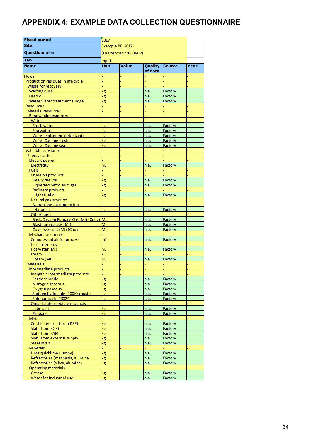# **APPENDIX 4: EXAMPLE DATA COLLECTION QUESTIONNAIRE**

| <b>Fiscal period</b>                                   | 2017                     |              |                    |                    |      |
|--------------------------------------------------------|--------------------------|--------------|--------------------|--------------------|------|
| <b>Site</b>                                            | Example BF, 2017         |              |                    |                    |      |
| Questionnaire                                          | (H) Hot Strip Mill (new) |              |                    |                    |      |
|                                                        |                          |              |                    |                    |      |
| Tab                                                    | Input                    |              |                    |                    |      |
| <b>Name</b>                                            | <b>Unit</b>              | <b>Value</b> | Quality<br>of data | <b>Source</b>      | Year |
| <b>Flows</b>                                           |                          |              |                    |                    |      |
| Production residues in life cycle                      |                          |              |                    |                    |      |
| <b>Waste for recovery</b>                              |                          |              |                    |                    |      |
| <b>Scarfing dust</b>                                   | kg                       |              | n.a.               | <b>Factory</b>     |      |
| Used oil                                               | kg<br>kg                 |              | n.a.               | Factory            |      |
| Waste water treatment sludge<br><b>Resources</b>       |                          |              | n.a.               | Factory            |      |
| <b>Material resources</b>                              |                          |              |                    |                    |      |
| Renewable resources                                    |                          |              |                    |                    |      |
| Water                                                  |                          |              |                    |                    |      |
| Fresh water                                            | kg                       |              | n.a.               | Factory            |      |
| Sea water<br>Water (softened, deionized)               | kg                       |              | n.a.               | Factory            |      |
| <b>Water Cooling fresh</b>                             | kg<br>kg                 |              | n.a.<br>n.a.       | Factory<br>Factory |      |
| <b>Water Cooling sea</b>                               | kg                       |              | n.a.               | Factory            |      |
| Valuable substances                                    |                          |              |                    |                    |      |
| Energy carrier                                         |                          |              |                    |                    |      |
| Electric power                                         |                          |              |                    |                    |      |
| <b>Electricity</b>                                     | <b>MJ</b>                |              | n.a.               | Factory            |      |
| <b>Fuels</b><br>Crude oil products                     |                          |              |                    |                    |      |
| Heavy fuel oil                                         | kg                       |              | n.a.               | Factory            |      |
| Liquefied petroleum gas                                | kg                       |              | n.a.               | Factory            |      |
| <b>Refinery products</b>                               |                          |              |                    |                    |      |
| Light fuel oil                                         | kg                       |              | n.a.               | Factory            |      |
| Natural gas products                                   |                          |              |                    |                    |      |
| Natural gas, at production                             |                          |              |                    |                    |      |
| Natural gas                                            | kg                       |              | n.a.               | Factory            |      |
| Other fuels<br>Basic Oxygen Furnace Gas (MJ) (Copy)    | <b>MJ</b>                |              | n.a.               | <b>Factory</b>     |      |
| Blast furnace gas (MJ)                                 | <b>MJ</b>                |              | <u>n.a.</u>        | Factory            |      |
| Coke oven gas (MJ) (Copy)                              | <b>MJ</b>                |              | n.a.               | Factory            |      |
| <b>Mechanical energy</b>                               |                          |              |                    |                    |      |
| <b>Compressed air for process</b>                      | m <sup>3</sup>           |              | n.a.               | <b>Factory</b>     |      |
| <b>Thermal energy</b>                                  |                          |              |                    |                    |      |
| Hot water (MJ)                                         | MJ                       |              | n.a.               | Factory            |      |
| steam<br>Steam (MJ)                                    | <b>MJ</b>                |              | n.a.               | Factory            |      |
| <b>Materials</b>                                       |                          |              |                    |                    |      |
| <u>Intermediate products</u>                           |                          |              |                    |                    |      |
| Inorganic intermediate products                        |                          |              |                    |                    |      |
| Ferric chloride                                        | kg                       |              | n.a.               | Factory            |      |
| Nitrogen gaseous                                       | kg <sub>2</sub>          |              | n.a.               | <b>Factory</b>     |      |
| Oxygen gaseous                                         | kg                       |              | n.a.               | <b>Factory</b>     |      |
| Sodium hydroxide (100%; caustic                        | kg                       |              | n.a.               | <b>Factory</b>     |      |
| Sulphuric acid (100%)<br>Organic intermediate products | kg                       |              | n.a.               | <b>Factory</b>     |      |
| Lubricant                                              | kg                       |              | n.a.               | <b>Factory</b>     |      |
| Propane                                                | kg                       |              | n.a.               | Factory            |      |
| <b>Metals</b>                                          |                          |              |                    |                    |      |
| Cold rolled coil (from DSP)                            | kg                       |              | n.a.               | Factory            |      |
| Slab (from BOF)                                        | kg                       |              | n.a.               | Factory            |      |
| Slab (from EAF)                                        | kg                       |              | n.a.               | <b>Factory</b>     |      |
| Slab (from external supply)                            | kg<br>kg                 |              | n.a.               | <b>Factory</b>     |      |
| <b>Steel strap</b><br><b>Minerals</b>                  |                          |              | n.a.               | <b>Factory</b>     |      |
| Lime quicklime (lumpy)                                 | kg                       |              | n.a.               | Factory            |      |
| Refractories (magnesia, alumina,                       | kg                       |              | n.a.               | Factory            |      |
| Refractories (silica, alumina)                         | <b>kg</b>                |              | n.a.               | Factory            |      |
| <b>Operating materials</b>                             |                          |              |                    |                    |      |
| Grease                                                 | kg                       |              | n.a.               | Factory            |      |
| Water for industrial use                               | kg                       |              | n.a.               | Factory            |      |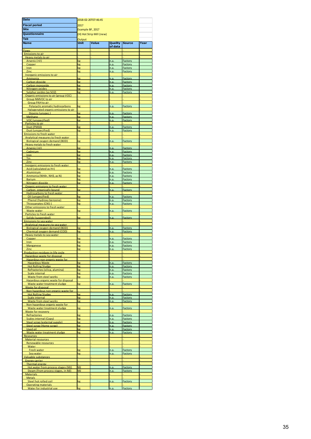| Date                                                                     |                                              | 2018-02-20T07:46:45 |                    |                    |      |
|--------------------------------------------------------------------------|----------------------------------------------|---------------------|--------------------|--------------------|------|
| <b>Fiscal period</b>                                                     | 2017                                         |                     |                    |                    |      |
| <b>Site</b>                                                              |                                              |                     |                    |                    |      |
| <b>Questionnaire</b>                                                     | Example BF, 2017<br>(H) Hot Strip Mill (new) |                     |                    |                    |      |
|                                                                          |                                              |                     |                    |                    |      |
| <b>Tab</b>                                                               | Output<br><b>Unit</b>                        |                     |                    |                    |      |
| <b>Name</b>                                                              |                                              | <b>Value</b>        | Quality<br>of data | <b>Source</b>      | Year |
| Flows                                                                    |                                              |                     |                    |                    |      |
| <b>Emissions to air</b>                                                  |                                              |                     |                    |                    |      |
| Heavy metals to air                                                      |                                              |                     |                    |                    |      |
| Arsenic (+V)<br>Copper                                                   | kg<br>kg                                     |                     | n.a<br>n.a         | Factory<br>Factory |      |
| Iron                                                                     | kg                                           |                     | n.a                | Factory            |      |
| Zinc                                                                     | kg                                           |                     | n.a                | Factory            |      |
| Inorganic emissions to air                                               |                                              |                     |                    |                    |      |
| Ammonia<br><b>Carbon dioxide</b>                                         | kg<br>kg                                     |                     | n.a.<br>n.a        | Factory<br>Factory |      |
| Carbon monoxide                                                          | kg                                           |                     | n.a                | Factory            |      |
| Nitrogen oxides                                                          | kg                                           |                     | n.a.               | Factory            |      |
| Sulphur oxides (as SO2)                                                  | kg                                           |                     | n.a                | Factory            |      |
| Organic emissions to air (group VOC)<br>Group NMVOC to air               |                                              |                     |                    |                    |      |
| <b>Group PAH to air</b>                                                  |                                              |                     |                    |                    |      |
| Polycyclic aromatic hydrocarbons                                         | kg                                           |                     | n.a.               | Factory            |      |
| Halogenated organic emissions to air                                     |                                              |                     |                    |                    |      |
| Dioxins (unspec.)<br><b>Methane</b>                                      | kg<br>kg                                     |                     | n.a.<br>n.a        | Factory<br>Factory |      |
| <b>VOC</b> (unspecified)                                                 | kg                                           |                     | n.a                | Factory            |      |
| Particles to air                                                         |                                              |                     |                    |                    |      |
| Dust (PM10)                                                              | kg                                           |                     | n.a                | Factory            |      |
| Dust (unspecified)<br><b>Emissions to fresh water</b>                    | kg                                           |                     | n.a.               | Factory            |      |
| <b>Analytical measures to fresh water</b>                                |                                              |                     |                    |                    |      |
| <b>Biological oxygen demand (BOD)</b>                                    | kg                                           |                     | n.a                | Factory            |      |
| Heavy metals to fresh water                                              |                                              |                     |                    |                    |      |
| Arsenic (+V)<br>Cadmium                                                  | kg<br>kg                                     |                     | n.a<br>n.a.        | Factory<br>Factory |      |
| Iron                                                                     | kg                                           |                     | n.a                | Factory            |      |
| <b>Tin</b>                                                               | kg                                           |                     | n.a                | Factory            |      |
| Zinc                                                                     | kg                                           |                     | n.a                | Factory            |      |
| Inorganic emissions to fresh water                                       |                                              |                     |                    |                    |      |
| Acid (calculated as H+)<br><b>Aluminium</b>                              | kg<br>kg                                     |                     | n.a<br>n.a         | Factory<br>Factory |      |
| Ammonia (NH4+, NH3, as N)                                                | kg                                           |                     | n.a                | Factory            |      |
| <b>Barium</b>                                                            | kg                                           |                     | n.a                | Factory            |      |
| Nitrogen dioxide                                                         | kg                                           |                     | n.a                | Factory            |      |
| Organic emissions to fresh water                                         | kg                                           |                     |                    |                    |      |
| Carbon, organically bound<br><b>Hydrocarbons to fresh water</b>          |                                              |                     | n.a                | Factory            |      |
| Oil (unspecified)                                                        | kg                                           |                     | n.a                | Factory            |      |
| Phenol (hydroxy benzene)                                                 | kg                                           |                     | n.a                | Factory            |      |
| Thiocvanates (CNS-)<br>Other emissions to fresh water                    | kg                                           |                     | n.a                | Factory            |      |
| <b>Waste water</b>                                                       | kg                                           |                     | n.a.               | Factory            |      |
| Particles to fresh water                                                 |                                              |                     |                    |                    |      |
| Solids (suspended)                                                       | kg                                           |                     | n.a                | Factory            |      |
| Emissions to sea water                                                   |                                              |                     |                    |                    |      |
| Analytical measures to sea water<br>Biological oxygen demand (BOD)       | kg                                           |                     | n.a                | Factory            |      |
| Chemical oxygen demand (COD)                                             | kg                                           |                     | n.a                | Factory            |      |
| Heavy metals to sea water                                                |                                              |                     |                    |                    |      |
| Copper                                                                   | kg                                           |                     | n.a                | Factory            |      |
| <b>Iron</b><br><b>Manganese</b>                                          | kg<br>kg                                     |                     | n.a.<br>n.a        | Factory<br>Factory |      |
| Zinc                                                                     | kø                                           |                     | n.a                | Factory            |      |
| Production residues in life cycle                                        |                                              |                     |                    |                    |      |
| Hazardous waste for disposal                                             |                                              |                     |                    |                    |      |
| Hazardous non organic waste for<br><b>Hazardous Waste</b>                | kø                                           |                     | n.a.               | Factory            |      |
| <b>Hot Rolling Sludge</b>                                                | kg                                           |                     | n.a.               | Factory            |      |
| Refractories (silica, alumina)                                           | kg                                           |                     | n.a.               | Factory            |      |
| Scale internal                                                           | kg                                           |                     | n.a.               | Factory            |      |
| <b>Waste from steel works</b><br>Hazardous organic waste for disposal    | kg                                           |                     | n.a.               | Factory            |      |
| Waste water treatment sludge                                             | kg                                           |                     | n.a.               | Factory            |      |
| Waste for disposal                                                       |                                              |                     |                    |                    |      |
| Non hazardous non organic waste for                                      |                                              |                     |                    |                    |      |
| <b>Hot Rolling Sludge</b><br>Scale internal                              | kg<br>kg                                     |                     | n.a.<br>n.a.       | Factory<br>Factory |      |
| Waste from steel works                                                   | kg                                           |                     | n.a                | Factory            |      |
| Non hazardous organic waste for                                          |                                              |                     |                    |                    |      |
| Waste water treatment sludge                                             | kg                                           |                     | n.a.               | Factory            |      |
| Waste for recovery<br><b>Refractories</b>                                | kg                                           |                     | n.a.               | Factory            |      |
| <b>Scales internal (Copy)</b>                                            | kg                                           |                     | n.a.               | Factory            |      |
| Steel scrap (external supply)                                            | kg                                           |                     | n.a.               | Factory            |      |
| Steel scrap (Home scrap)                                                 | kg                                           |                     | n.a.               | Factory            |      |
| Used oil<br>Waste water treatment sludge                                 | kg<br>kg.                                    |                     | n.a.<br>n.a.       | Factory<br>Factory |      |
| Resources                                                                |                                              |                     |                    |                    |      |
| <b>Material resources</b>                                                |                                              |                     |                    |                    |      |
| Renewable resources                                                      |                                              |                     |                    |                    |      |
| Water                                                                    |                                              |                     |                    |                    |      |
| Fresh water<br>Sea water                                                 | kø<br>kg                                     |                     | n.a.<br>n.a.       | Factory<br>Factory |      |
| Valuable substances                                                      |                                              |                     |                    |                    |      |
| <b>Energy carrier</b>                                                    |                                              |                     |                    |                    |      |
| Thermal energy                                                           |                                              |                     |                    |                    |      |
| Hot water from process stages (MJ)<br>Steam (from process stages, in MJ) | <b>MJ</b><br>MJ                              |                     | n.a.<br>n.a        | Factory<br>Factory |      |
| <b>Materials</b>                                                         |                                              |                     |                    |                    |      |
| <b>Metals</b>                                                            |                                              |                     |                    |                    |      |
| Steel hot rolled coil                                                    | kg                                           |                     | n.a.               | Factory            |      |
| <b>Operating materials</b><br>Water for industrial use                   | kg                                           |                     | n.a.               | Factory            |      |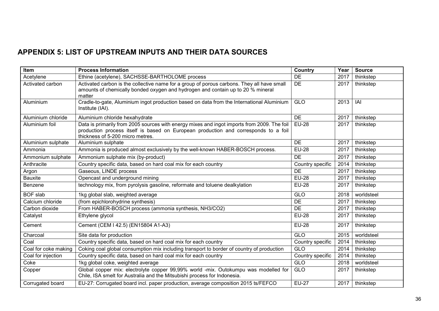# **APPENDIX 5: LIST OF UPSTREAM INPUTS AND THEIR DATA SOURCES**

| Item                 | <b>Process Information</b>                                                                                                                                                                                             | <b>Country</b>   | Year | <b>Source</b> |
|----------------------|------------------------------------------------------------------------------------------------------------------------------------------------------------------------------------------------------------------------|------------------|------|---------------|
| Acetylene            | Ethine (acetylene), SACHSSE-BARTHOLOME process                                                                                                                                                                         | <b>DE</b>        | 2017 | thinkstep     |
| Activated carbon     | Activated carbon is the collective name for a group of porous carbons. They all have small<br>amounts of chemically bonded oxygen and hydrogen and contain up to 20 % mineral<br>matter                                | DE               | 2017 | thinkstep     |
| Aluminium            | Cradle-to-gate, Aluminium ingot production based on data from the International Aluminium<br>Institute (IAI).                                                                                                          | GLO              | 2013 | IAI           |
| Aluminium chloride   | Aluminium chloride hexahydrate                                                                                                                                                                                         | DE               | 2017 | thinkstep     |
| Aluminium foil       | Data is primarily from 2005 sources with energy mixes and ingot imports from 2009. The foil<br>production process itself is based on European production and corresponds to a foil<br>thickness of 5-200 micro metres. | <b>EU-28</b>     | 2017 | thinkstep     |
| Aluminium sulphate   | Aluminium sulphate                                                                                                                                                                                                     | <b>DE</b>        | 2017 | thinkstep     |
| Ammonia              | Ammonia is produced almost exclusively by the well-known HABER-BOSCH process.                                                                                                                                          | <b>EU-28</b>     | 2017 | thinkstep     |
| Ammonium sulphate    | Ammonium sulphate mix (by-product)                                                                                                                                                                                     | DE               | 2017 | thinkstep     |
| Anthracite           | Country specific data, based on hard coal mix for each country                                                                                                                                                         | Country specific | 2014 | thinkstep     |
| Argon                | Gaseous, LINDE process                                                                                                                                                                                                 | <b>DE</b>        | 2017 | thinkstep     |
| Bauxite              | Opencast and underground mining                                                                                                                                                                                        | <b>EU-28</b>     | 2017 | thinkstep     |
| Benzene              | technology mix, from pyrolysis gasoline, reformate and toluene dealkylation                                                                                                                                            | <b>EU-28</b>     | 2017 | thinkstep     |
| <b>BOF</b> slab      | 1kg global slab, weighted average                                                                                                                                                                                      | <b>GLO</b>       | 2018 | worldsteel    |
| Calcium chloride     | (from epichlorohydrine synthesis)                                                                                                                                                                                      | <b>DE</b>        | 2017 | thinkstep     |
| Carbon dioxide       | From HABER-BOSCH process (ammonia synthesis, NH3/CO2)                                                                                                                                                                  | DE               | 2017 | thinkstep     |
| Catalyst             | Ethylene glycol                                                                                                                                                                                                        | <b>EU-28</b>     | 2017 | thinkstep     |
| Cement               | Cement (CEM I 42.5) (EN15804 A1-A3)                                                                                                                                                                                    | <b>EU-28</b>     | 2017 | thinkstep     |
| Charcoal             | Site data for production                                                                                                                                                                                               | <b>GLO</b>       | 2015 | worldsteel    |
| Coal                 | Country specific data, based on hard coal mix for each country                                                                                                                                                         | Country specific | 2014 | thinkstep     |
| Coal for coke making | Coking coal global consumption mix including transport to border of country of production                                                                                                                              | GLO              | 2014 | thinkstep     |
| Coal for injection   | Country specific data, based on hard coal mix for each country                                                                                                                                                         | Country specific | 2014 | thinkstep     |
| Coke                 | 1kg global coke, weighted average                                                                                                                                                                                      | <b>GLO</b>       | 2018 | worldsteel    |
| Copper               | Global copper mix: electrolyte copper 99,99% world -mix. Outokumpu was modelled for<br>Chile, ISA smelt for Australia and the Mitsubishi process for Indonesia.                                                        | <b>GLO</b>       | 2017 | thinkstep     |
| Corrugated board     | EU-27: Corrugated board incl. paper production, average composition 2015 ts/FEFCO                                                                                                                                      | <b>EU-27</b>     | 2017 | thinkstep     |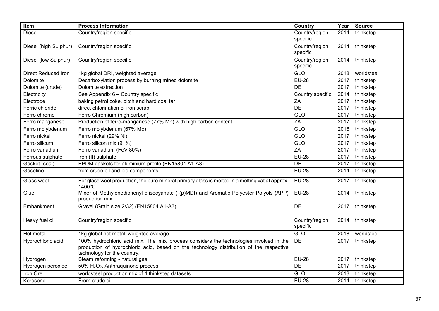| Item                       | <b>Process Information</b>                                                                                                                                                                                         | Country                    | Year | <b>Source</b> |
|----------------------------|--------------------------------------------------------------------------------------------------------------------------------------------------------------------------------------------------------------------|----------------------------|------|---------------|
| <b>Diesel</b>              | Country/region specific                                                                                                                                                                                            | Country/region<br>specific | 2014 | thinkstep     |
| Diesel (high Sulphur)      | Country/region specific                                                                                                                                                                                            | Country/region<br>specific | 2014 | thinkstep     |
| Diesel (low Sulphur)       | Country/region specific                                                                                                                                                                                            | Country/region<br>specific | 2014 | thinkstep     |
| <b>Direct Reduced Iron</b> | 1kg global DRI, weighted average                                                                                                                                                                                   | GLO                        | 2018 | worldsteel    |
| Dolomite                   | Decarboxylation process by burning mined dolomite                                                                                                                                                                  | <b>EU-28</b>               | 2017 | thinkstep     |
| Dolomite (crude)           | Dolomite extraction                                                                                                                                                                                                | $\overline{DE}$            | 2017 | thinkstep     |
| Electricity                | See Appendix 6 - Country specific                                                                                                                                                                                  | Country specific           | 2014 | thinkstep     |
| Electrode                  | baking petrol coke, pitch and hard coal tar                                                                                                                                                                        | ZA                         | 2017 | thinkstep     |
| Ferric chloride            | direct chlorination of iron scrap                                                                                                                                                                                  | DE                         | 2017 | thinkstep     |
| Ferro chrome               | Ferro Chromium (high carbon)                                                                                                                                                                                       | GLO                        | 2017 | thinkstep     |
| Ferro manganese            | Production of ferro-manganese (77% Mn) with high carbon content.                                                                                                                                                   | ZA                         | 2017 | thinkstep     |
| Ferro molybdenum           | Ferro molybdenum (67% Mo)                                                                                                                                                                                          | GLO                        | 2016 | thinkstep     |
| Ferro nickel               | Ferro nickel (29% Ni)                                                                                                                                                                                              | GLO                        | 2017 | thinkstep     |
| Ferro silicum              | Ferro silicon mix (91%)                                                                                                                                                                                            | <b>GLO</b>                 | 2017 | thinkstep     |
| Ferro vanadium             | Ferro vanadium (FeV 80%)                                                                                                                                                                                           | ZA                         | 2017 | thinkstep     |
| Ferrous sulphate           | Iron (II) sulphate                                                                                                                                                                                                 | <b>EU-28</b>               | 2017 | thinkstep     |
| Gasket (seal)              | EPDM gaskets for aluminium profile (EN15804 A1-A3)                                                                                                                                                                 | DE                         | 2017 | thinkstep     |
| Gasoline                   | from crude oil and bio components                                                                                                                                                                                  | <b>EU-28</b>               | 2014 | thinkstep     |
| Glass wool                 | For glass wool production, the pure mineral primary glass is melted in a melting vat at approx.<br>$1400^{\circ}$ C                                                                                                | <b>EU-28</b>               | 2017 | thinkstep     |
| Glue                       | Mixer of Methylenediphenyl diisocyanate ((p)MDI) and Aromatic Polyester Polyols (APP)<br>production mix                                                                                                            | $EU-28$                    | 2014 | thinkstep     |
| Embankment                 | Gravel (Grain size 2/32) (EN15804 A1-A3)                                                                                                                                                                           | DE                         | 2017 | thinkstep     |
| Heavy fuel oil             | Country/region specific                                                                                                                                                                                            | Country/region<br>specific | 2014 | thinkstep     |
| Hot metal                  | 1kg global hot metal, weighted average                                                                                                                                                                             | GLO                        | 2018 | worldsteel    |
| Hydrochloric acid          | 100% hydrochloric acid mix. The 'mix' process considers the technologies involved in the<br>production of hydrochloric acid, based on the technology distribution of the respective<br>technology for the country. | DE                         | 2017 | thinkstep     |
| Hydrogen                   | Steam reforming - natural gas                                                                                                                                                                                      | <b>EU-28</b>               | 2017 | thinkstep     |
| Hydrogen peroxide          | 50% H <sub>2</sub> O <sub>2</sub> . Anthraquinone process                                                                                                                                                          | DE                         | 2017 | thinkstep     |
| <b>Iron Ore</b>            | worldsteel production mix of 4 thinkstep datasets                                                                                                                                                                  | <b>GLO</b>                 | 2018 | thinkstep     |
| Kerosene                   | From crude oil                                                                                                                                                                                                     | <b>EU-28</b>               | 2014 | thinkstep     |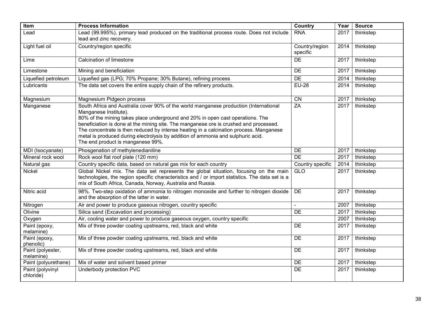| Item                           | <b>Process Information</b>                                                                                                                                                                                                                                                                                                                                                                                                                                                                                   | Country                    | Year | <b>Source</b> |
|--------------------------------|--------------------------------------------------------------------------------------------------------------------------------------------------------------------------------------------------------------------------------------------------------------------------------------------------------------------------------------------------------------------------------------------------------------------------------------------------------------------------------------------------------------|----------------------------|------|---------------|
| Lead                           | Lead (99.995%), primary lead produced on the traditional process route. Does not include<br>lead and zinc recovery.                                                                                                                                                                                                                                                                                                                                                                                          | <b>RNA</b>                 | 2017 | thinkstep     |
| Light fuel oil                 | Country/region specific                                                                                                                                                                                                                                                                                                                                                                                                                                                                                      | Country/region<br>specific | 2014 | thinkstep     |
| Lime                           | <b>Calcination of limestone</b>                                                                                                                                                                                                                                                                                                                                                                                                                                                                              | DE                         | 2017 | thinkstep     |
| Limestone                      | Mining and beneficiation                                                                                                                                                                                                                                                                                                                                                                                                                                                                                     | <b>DE</b>                  | 2017 | thinkstep     |
| Liquefied petroleum            | Liquefied gas (LPG; 70% Propane; 30% Butane), refining process                                                                                                                                                                                                                                                                                                                                                                                                                                               | <b>DE</b>                  | 2014 | thinkstep     |
| Lubricants                     | The data set covers the entire supply chain of the refinery products.                                                                                                                                                                                                                                                                                                                                                                                                                                        | <b>EU-28</b>               | 2014 | thinkstep     |
| Magnesium                      | Magnesium Pidgeon process                                                                                                                                                                                                                                                                                                                                                                                                                                                                                    | $\overline{CN}$            | 2017 | thinkstep     |
| Manganese                      | South Africa and Australia cover 90% of the world manganese production (International<br>Manganese Institute).<br>80% of the mining takes place underground and 20% in open cast operations. The<br>beneficiation is done at the mining site. The manganese ore is crushed and processed.<br>The concentrate is then reduced by intense heating in a calcination process. Manganese<br>metal is produced during electrolysis by addition of ammonia and sulphuric acid.<br>The end product is manganese 99%. | ZA                         | 2017 | thinkstep     |
| MDI (Isocyanate)               | Phosgenation of methylenedianiline                                                                                                                                                                                                                                                                                                                                                                                                                                                                           | <b>DE</b>                  | 2017 | thinkstep     |
| Mineral rock wool              | Rock wool flat roof plate (120 mm)                                                                                                                                                                                                                                                                                                                                                                                                                                                                           | <b>DE</b>                  | 2017 | thinkstep     |
| Natural gas                    | Country specific data, based on natural gas mix for each country                                                                                                                                                                                                                                                                                                                                                                                                                                             | Country specific           | 2014 | thinkstep     |
| Nickel                         | Global Nickel mix. The data set represents the global situation, focusing on the main<br>technologies, the region specific characteristics and / or import statistics. The data set is a<br>mix of South Africa, Canada, Norway, Australia and Russia.                                                                                                                                                                                                                                                       | <b>GLO</b>                 | 2017 | thinkstep     |
| Nitric acid                    | 98%. Two-step oxidation of ammonia to nitrogen monoxide and further to nitrogen dioxide<br>and the absorption of the latter in water.                                                                                                                                                                                                                                                                                                                                                                        | <b>DE</b>                  | 2017 | thinkstep     |
| Nitrogen                       | Air and power to produce gaseous nitrogen, country specific                                                                                                                                                                                                                                                                                                                                                                                                                                                  |                            | 2007 | thinkstep     |
| Olivine                        | Silica sand (Excavation and processing)                                                                                                                                                                                                                                                                                                                                                                                                                                                                      | <b>DE</b>                  | 2017 | thinkstep     |
| Oxygen                         | Air, cooling water and power to produce gaseous oxygen, country specific                                                                                                                                                                                                                                                                                                                                                                                                                                     |                            | 2007 | thinkstep     |
| Paint (epoxy,<br>melamine)     | Mix of three powder coating upstreams, red, black and white                                                                                                                                                                                                                                                                                                                                                                                                                                                  | <b>DE</b>                  | 2017 | thinkstep     |
| Paint (epoxy,<br>phenolic)     | Mix of three powder coating upstreams, red, black and white                                                                                                                                                                                                                                                                                                                                                                                                                                                  | DE                         | 2017 | thinkstep     |
| Paint (polyester,<br>melamine) | Mix of three powder coating upstreams, red, black and white                                                                                                                                                                                                                                                                                                                                                                                                                                                  | <b>DE</b>                  | 2017 | thinkstep     |
| Paint (polyurethane)           | Mix of water and solvent based primer                                                                                                                                                                                                                                                                                                                                                                                                                                                                        | DE                         | 2017 | thinkstep     |
| Paint (polyvinyl<br>chloride)  | Underbody protection PVC                                                                                                                                                                                                                                                                                                                                                                                                                                                                                     | <b>DE</b>                  | 2017 | thinkstep     |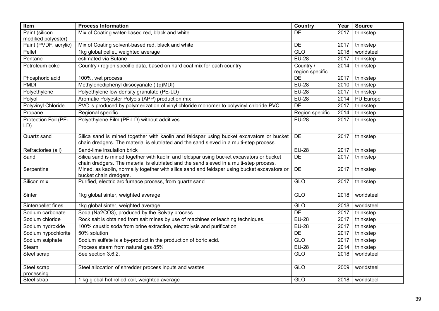| Item                  | <b>Process Information</b>                                                                   | <b>Country</b>  | Year | <b>Source</b>     |
|-----------------------|----------------------------------------------------------------------------------------------|-----------------|------|-------------------|
| Paint (silicon        | Mix of Coating water-based red, black and white                                              | DE              | 2017 | thinkstep         |
| modified polyester)   |                                                                                              |                 |      |                   |
| Paint (PVDF, acrylic) | Mix of Coating solvent-based red, black and white                                            | DE              | 2017 | thinkstep         |
| Pellet                | 1kg global pellet, weighted average                                                          | GLO             | 2018 | worldsteel        |
| Pentane               | estimated via Butane                                                                         | <b>EU-28</b>    | 2017 | thinkstep         |
| Petroleum coke        | Country / region specific data, based on hard coal mix for each country                      | Country /       | 2014 | thinkstep         |
|                       |                                                                                              | region specific |      |                   |
| Phosphoric acid       | 100%, wet process                                                                            | DE              | 2017 | thinkstep         |
| <b>PMDI</b>           | Methylenediphenyl diisocyanate ((p)MDI)                                                      | <b>EU-28</b>    | 2010 | thinkstep         |
| Polyethylene          | Polyethylene low density granulate (PE-LD)                                                   | <b>EU-28</b>    | 2017 | thinkstep         |
| Polyol                | Aromatic Polyester Polyols (APP) production mix                                              | <b>EU-28</b>    | 2014 | PU Europe         |
| Polyvinyl Chloride    | PVC is produced by polymerization of vinyl chloride monomer to polyvinyl chloride PVC        | DE              | 2017 | thinkstep         |
| Propane               | Regional specific                                                                            | Region specific | 2014 | thinkstep         |
| Protection Foil (PE-  | Polyethylene Film (PE-LD) without additives                                                  | <b>EU-28</b>    | 2017 | thinkstep         |
| LD)                   |                                                                                              |                 |      |                   |
|                       |                                                                                              |                 |      |                   |
| Quartz sand           | Silica sand is mined together with kaolin and feldspar using bucket excavators or bucket     | <b>DE</b>       | 2017 | thinkstep         |
|                       | chain dredgers. The material is elutriated and the sand sieved in a multi-step process.      |                 |      |                   |
| Refractories (all)    | Sand-lime insulation brick                                                                   | <b>EU-28</b>    | 2017 | thinkstep         |
| Sand                  | Silica sand is mined together with kaolin and feldspar using bucket excavators or bucket     | DE              | 2017 | thinkstep         |
|                       | chain dredgers. The material is elutriated and the sand sieved in a multi-step process.      |                 |      |                   |
| Serpentine            | Mined, as kaolin, normally together with silica sand and feldspar using bucket excavators or | DE              | 2017 | thinkstep         |
| Silicon mix           | bucket chain dredgers.<br>Purified, electric arc furnace process, from quartz sand           | GLO             | 2017 | thinkstep         |
|                       |                                                                                              |                 |      |                   |
| Sinter                | 1kg global sinter, weighted average                                                          | GLO             | 2018 | worldsteel        |
|                       |                                                                                              |                 |      |                   |
| Sinter/pellet fines   | 1kg global sinter, weighted average                                                          | <b>GLO</b>      | 2018 | worldsteel        |
| Sodium carbonate      | Soda (Na2CO3), produced by the Solvay process                                                | <b>DE</b>       | 2017 | thinkstep         |
| Sodium chloride       | Rock salt is obtained from salt mines by use of machines or leaching techniques.             | <b>EU-28</b>    | 2017 | thinkstep         |
| Sodium hydroxide      | 100% caustic soda from brine extraction, electrolysis and purification                       | <b>EU-28</b>    | 2017 | thinkstep         |
| Sodium hypochlorite   | 50% solution                                                                                 | DE              | 2017 | thinkstep         |
| Sodium sulphate       | Sodium sulfate is a by-product in the production of boric acid.                              | <b>GLO</b>      | 2017 | thinkstep         |
| <b>Steam</b>          | Process steam from natural gas 85%                                                           | <b>EU-28</b>    | 2014 | thinkstep         |
| Steel scrap           | See section 3.6.2.                                                                           | GLO             | 2018 | worldsteel        |
|                       |                                                                                              |                 |      |                   |
| Steel scrap           | Steel allocation of shredder process inputs and wastes                                       | GLO             | 2009 | worldsteel        |
| processing            |                                                                                              |                 |      |                   |
| Steel strap           | 1 kg global hot rolled coil, weighted average                                                | <b>GLO</b>      |      | 2018   worldsteel |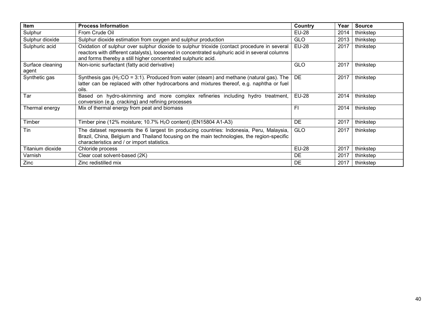| Item                      | <b>Process Information</b>                                                                                                                                                                                                                                     | Country      | Year | <b>Source</b> |
|---------------------------|----------------------------------------------------------------------------------------------------------------------------------------------------------------------------------------------------------------------------------------------------------------|--------------|------|---------------|
| Sulphur                   | From Crude Oil                                                                                                                                                                                                                                                 | <b>EU-28</b> | 2014 | thinkstep     |
| Sulphur dioxide           | Sulphur dioxide estimation from oxygen and sulphur production                                                                                                                                                                                                  | <b>GLO</b>   | 2013 | thinkstep     |
| Sulphuric acid            | Oxidation of sulphur over sulphur dioxide to sulphur trioxide (contact procedure in several<br>reactors with different catalysts), loosened in concentrated sulphuric acid in several columns<br>and forms thereby a still higher concentrated sulphuric acid. | <b>EU-28</b> | 2017 | thinkstep     |
| Surface cleaning<br>agent | Non-ionic surfactant (fatty acid derivative)                                                                                                                                                                                                                   | GLO          | 2017 | thinkstep     |
| Synthetic gas             | Synthesis gas ( $H_2$ :CO = 3:1). Produced from water (steam) and methane (natural gas). The<br>latter can be replaced with other hydrocarbons and mixtures thereof, e.g. naphtha or fuel<br>oils.                                                             | DE           | 2017 | thinkstep     |
| Tar                       | Based on hydro-skimming and more complex refineries including hydro treatment,<br>conversion (e.g. cracking) and refining processes                                                                                                                            | <b>EU-28</b> | 2014 | thinkstep     |
| Thermal energy            | Mix of thermal energy from peat and biomass                                                                                                                                                                                                                    | FI           | 2014 | thinkstep     |
| Timber                    | Timber pine (12% moisture; 10.7% $H2O$ content) (EN15804 A1-A3)                                                                                                                                                                                                | DE           | 2017 | thinkstep     |
| Tin                       | The dataset represents the 6 largest tin producing countries: Indonesia, Peru, Malaysia,<br>Brazil, China, Belgium and Thailand focusing on the main technologies, the region-specific<br>characteristics and / or import statistics.                          | <b>GLO</b>   | 2017 | thinkstep     |
| Titanium dioxide          | Chloride process                                                                                                                                                                                                                                               | <b>EU-28</b> | 2017 | thinkstep     |
| Varnish                   | Clear coat solvent-based (2K)                                                                                                                                                                                                                                  | DE           | 2017 | thinkstep     |
| Zinc                      | Zinc redistilled mix                                                                                                                                                                                                                                           | DE           | 2017 | thinkstep     |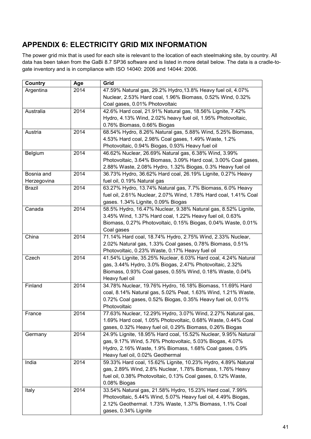# **APPENDIX 6: ELECTRICITY GRID MIX INFORMATION**

The power grid mix that is used for each site is relevant to the location of each steelmaking site, by country. All data has been taken from the GaBi 8.7 SP36 software and is listed in more detail below. The data is a cradle-togate inventory and is in compliance with ISO 14040: 2006 and 14044: 2006.

| Country       | Age  | Grid                                                             |
|---------------|------|------------------------------------------------------------------|
| Argentina     | 2014 | 47.59% Natural gas, 29.2% Hydro, 13.8% Heavy fuel oil, 4.07%     |
|               |      | Nuclear, 2.53% Hard coal, 1.96% Biomass, 0.52% Wind, 0.32%       |
|               |      | Coal gases, 0.01% Photovoltaic                                   |
| Australia     | 2014 | 42.6% Hard coal, 21.91% Natural gas, 18.56% Lignite, 7.42%       |
|               |      | Hydro, 4.13% Wind, 2.02% heavy fuel oil, 1.95% Photovoltaic,     |
|               |      | 0.76% Biomass, 0.66% Biogas                                      |
| Austria       | 2014 | 68.54% Hydro, 8.26% Natural gas, 5.88% Wind, 5.25% Biomass,      |
|               |      | 4.53% Hard coal, 2.98% Coal gases, 1.49% Waste, 1.2%             |
|               |      | Photovoltaic, 0.94% Biogas, 0.93% Heavy fuel oil                 |
| Belgium       | 2014 | 46.62% Nuclear, 26.69% Natural gas, 6.38% Wind, 3.99%            |
|               |      | Photovoltaic, 3.64% Biomass, 3.09% Hard coal, 3.00% Coal gases,  |
|               |      | 2.88% Waste, 2.08% Hydro, 1.32% Biogas, 0.3% Heavy fuel oil      |
| Bosnia and    | 2014 | 36.73% Hydro, 36.62% Hard coal, 26.19% Lignite, 0.27% Heavy      |
| Herzegovina   |      | fuel oil, 0.19% Natural gas                                      |
| <b>Brazil</b> | 2014 | 63.27% Hydro, 13.74% Natural gas, 7.7% Biomass, 6.0% Heavy       |
|               |      | fuel oil, 2.61% Nuclear, 2.07% Wind, 1.78% Hard coal, 1.41% Coal |
|               |      | gases. 1.34% Lignite, 0.09% Biogas                               |
| Canada        | 2014 | 58.5% Hydro, 16.47% Nuclear, 9.38% Natural gas, 8.52% Lignite,   |
|               |      | 3.45% Wind, 1.37% Hard coal, 1.22% Heavy fuel oil, 0.63%         |
|               |      | Biomass, 0.27% Photovoltaic, 0.15% Biogas, 0.04% Waste, 0.01%    |
|               |      |                                                                  |
|               |      | Coal gases                                                       |
| China         | 2014 | 71.14% Hard coal, 18.74% Hydro, 2.75% Wind, 2.33% Nuclear,       |
|               |      | 2.02% Natural gas, 1.33% Coal gases, 0.78% Biomass, 0.51%        |
|               |      | Photovoltaic, 0.23% Waste, 0.17% Heavy fuel oil                  |
| Czech         | 2014 | 41.54% Lignite, 35.25% Nuclear, 6.03% Hard coal, 4.24% Natural   |
|               |      | gas, 3.44% Hydro, 3.0% Biogas, 2.47% Photovoltaic, 2.32%         |
|               |      | Biomass, 0.93% Coal gases, 0.55% Wind, 0.18% Waste, 0.04%        |
|               |      | Heavy fuel oil                                                   |
| Finland       | 2014 | 34.78% Nuclear, 19.76% Hydro, 16.18% Biomass, 11.69% Hard        |
|               |      | coal, 8.14% Natural gas, 5.02% Peat, 1.63% Wind, 1.21% Waste,    |
|               |      | 0.72% Coal gases, 0.52% Biogas, 0.35% Heavy fuel oil, 0.01%      |
|               |      | Photovoltaic                                                     |
| France        | 2014 | 77.63% Nuclear, 12.29% Hydro, 3.07% Wind, 2.27% Natural gas,     |
|               |      | 1.69% Hard coal, 1.05% Photovoltaic, 0.68% Waste, 0.44% Coal     |
|               |      | gases, 0.32% Heavy fuel oil, 0.29% Biomass, 0.26% Biogas         |
| Germany       | 2014 | 24.9% Lignite, 18.95% Hard coal, 15.52% Nuclear, 9.95% Natural   |
|               |      | gas, 9.17% Wind, 5.76% Photovoltaic, 5.03% Biogas, 4.07%         |
|               |      | Hydro, 2.16% Waste, 1.9% Biomass, 1.68% Coal gases, 0.9%         |
|               |      | Heavy fuel oil, 0.02% Geothermal                                 |
| India         | 2014 | 59.33% Hard coal, 15.62% Lignite, 10.23% Hydro, 4.89% Natural    |
|               |      | gas, 2.89% Wind, 2.8% Nuclear, 1.78% Biomass, 1.76% Heavy        |
|               |      | fuel oil, 0.38% Photovoltaic, 0.13% Coal gases, 0.12% Waste,     |
|               |      | 0.08% Biogas                                                     |
| Italy         | 2014 | 33.54% Natural gas, 21.58% Hydro, 15.23% Hard coal, 7.99%        |
|               |      | Photovoltaic, 5.44% Wind, 5.07% Heavy fuel oil, 4.49% Biogas,    |
|               |      | 2.12% Geothermal. 1.73% Waste, 1.37% Biomass, 1.1% Coal          |
|               |      | gases, 0.34% Lignite                                             |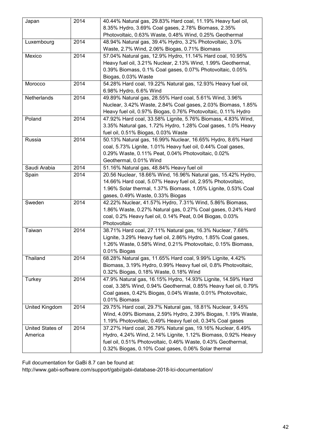| 8.35% Hydro, 3.69% Coal gases, 2.78% Biomass, 2.35%<br>Photovoltaic, 0.63% Waste, 0.48% Wind, 0.25% Geothermal<br>2014<br>Luxembourg<br>48.94% Natural gas, 39.4% Hydro, 3.2% Photovoltaic, 3.0%<br>Waste, 2.7% Wind, 2.06% Biogas, 0.71% Biomass<br>2014<br>57.04% Natural gas, 12.9% Hydro, 11.14% Hard coal, 10.95%<br>Mexico<br>Heavy fuel oil, 3.21% Nuclear, 2.13% Wind, 1.99% Geothermal,<br>0.39% Biomass, 0.1% Coal gases, 0.07% Photovoltaic, 0.05%<br>Biogas, 0.03% Waste<br>2014<br>54.28% Hard coal, 19.22% Natural gas, 12.93% Heavy fuel oil,<br>Morocco<br>6.98% Hydro, 6.6% Wind<br>Netherlands<br>49.89% Natural gas, 28.55% Hard coal, 5.61% Wind, 3.96%<br>2014<br>Nuclear, 3.42% Waste, 2.84% Coal gases, 2.03% Biomass, 1.85%<br>Heavy fuel oil, 0.97% Biogas, 0.76% Photovoltaic, 0.11% Hydro<br>2014<br>47.92% Hard coal, 33.58% Lignite, 5.76% Biomass, 4.83% Wind,<br>Poland<br>3.35% Natural gas, 1.72% Hydro, 1.28% Coal gases, 1.0% Heavy<br>fuel oil, 0.51% Biogas, 0.03% Waste<br>50.13% Natural gas, 16.99% Nuclear, 16.65% Hydro, 8.6% Hard<br>Russia<br>2014<br>coal, 5.73% Lignite, 1.01% Heavy fuel oil, 0.44% Coal gases,<br>0.29% Waste, 0.11% Peat, 0.04% Photovoltaic, 0.02%<br>Geothermal, 0.01% Wind<br>Saudi Arabia<br>2014<br>51.16% Natural gas, 48.84% Heavy fuel oil<br>20.56 Nuclear, 18.66% Wind, 16.96% Natural gas, 15.42% Hydro,<br>2014<br>Spain<br>14.66% Hard coal, 5.07% Heavy fuel oil, 2.95% Photovoltaic,<br>1.96% Solar thermal, 1.37% Biomass, 1.05% Lignite, 0.53% Coal<br>gases, 0.49% Waste, 0.33% Biogas<br>42.22% Nuclear, 41.57% Hydro, 7.31% Wind, 5.86% Biomass,<br>Sweden<br>2014<br>1.86% Waste, 0.27% Natural gas, 0.27% Coal gases, 0.24% Hard<br>coal, 0.2% Heavy fuel oil, 0.14% Peat, 0.04 Biogas, 0.03%<br>Photovoltaic<br>Taiwan<br>2014<br>38.71% Hard coal, 27.11% Natural gas, 16.3% Nuclear, 7.68%<br>Lignite, 3.29% Heavy fuel oil, 2.86% Hydro, 1.85% Coal gases,<br>1.26% Waste, 0.58% Wind, 0.21% Photovoltaic, 0.15% Biomass,<br>0.01% Biogas<br>Thailand<br>68.28% Natural gas, 11.65% Hard coal, 9.99% Lignite, 4.42%<br>2014<br>Biomass, 3.19% Hydro, 0.99% Heavy fuel oil, 0.8% Photovoltaic,<br>0.32% Biogas, 0.18% Waste, 0.18% Wind<br>2014<br>47.9% Natural gas, 16.15% Hydro, 14.93% Lignite, 14.59% Hard<br>Turkey<br>coal, 3.38% Wind, 0.94% Geothermal, 0.85% Heavy fuel oil, 0.79%<br>Coal gases, 0.42% Biogas, 0.04% Waste, 0.01% Photovoltaic,<br>0.01% Biomass<br>United Kingdom<br>2014<br>29.75% Hard coal, 29.7% Natural gas, 18.81% Nuclear, 9.45%<br>Wind, 4.09% Biomass, 2.59% Hydro, 2.39% Biogas, 1.19% Waste,<br>1.19% Photovoltaic, 0.49% Heavy fuel oil, 0.34% Coal gases<br>United States of<br>2014<br>37.27% Hard coal, 26.79% Natural gas, 19.16% Nuclear, 6.49%<br>Hydro, 4.24% Wind, 2.14% Lignite, 1.12% Biomass, 0.92% Heavy<br>America<br>fuel oil, 0.51% Photovoltaic, 0.46% Waste, 0.43% Geothermal,<br>0.32% Biogas, 0.10% Coal gases, 0.06% Solar thermal | Japan | 2014 | 40.44% Natural gas, 29.83% Hard coal, 11.19% Heavy fuel oil, |
|------------------------------------------------------------------------------------------------------------------------------------------------------------------------------------------------------------------------------------------------------------------------------------------------------------------------------------------------------------------------------------------------------------------------------------------------------------------------------------------------------------------------------------------------------------------------------------------------------------------------------------------------------------------------------------------------------------------------------------------------------------------------------------------------------------------------------------------------------------------------------------------------------------------------------------------------------------------------------------------------------------------------------------------------------------------------------------------------------------------------------------------------------------------------------------------------------------------------------------------------------------------------------------------------------------------------------------------------------------------------------------------------------------------------------------------------------------------------------------------------------------------------------------------------------------------------------------------------------------------------------------------------------------------------------------------------------------------------------------------------------------------------------------------------------------------------------------------------------------------------------------------------------------------------------------------------------------------------------------------------------------------------------------------------------------------------------------------------------------------------------------------------------------------------------------------------------------------------------------------------------------------------------------------------------------------------------------------------------------------------------------------------------------------------------------------------------------------------------------------------------------------------------------------------------------------------------------------------------------------------------------------------------------------------------------------------------------------------------------------------------------------------------------------------------------------------------------------------------------------------------------------------------------------------------------------------------------------------------------------|-------|------|--------------------------------------------------------------|
|                                                                                                                                                                                                                                                                                                                                                                                                                                                                                                                                                                                                                                                                                                                                                                                                                                                                                                                                                                                                                                                                                                                                                                                                                                                                                                                                                                                                                                                                                                                                                                                                                                                                                                                                                                                                                                                                                                                                                                                                                                                                                                                                                                                                                                                                                                                                                                                                                                                                                                                                                                                                                                                                                                                                                                                                                                                                                                                                                                                          |       |      |                                                              |
|                                                                                                                                                                                                                                                                                                                                                                                                                                                                                                                                                                                                                                                                                                                                                                                                                                                                                                                                                                                                                                                                                                                                                                                                                                                                                                                                                                                                                                                                                                                                                                                                                                                                                                                                                                                                                                                                                                                                                                                                                                                                                                                                                                                                                                                                                                                                                                                                                                                                                                                                                                                                                                                                                                                                                                                                                                                                                                                                                                                          |       |      |                                                              |
|                                                                                                                                                                                                                                                                                                                                                                                                                                                                                                                                                                                                                                                                                                                                                                                                                                                                                                                                                                                                                                                                                                                                                                                                                                                                                                                                                                                                                                                                                                                                                                                                                                                                                                                                                                                                                                                                                                                                                                                                                                                                                                                                                                                                                                                                                                                                                                                                                                                                                                                                                                                                                                                                                                                                                                                                                                                                                                                                                                                          |       |      |                                                              |
|                                                                                                                                                                                                                                                                                                                                                                                                                                                                                                                                                                                                                                                                                                                                                                                                                                                                                                                                                                                                                                                                                                                                                                                                                                                                                                                                                                                                                                                                                                                                                                                                                                                                                                                                                                                                                                                                                                                                                                                                                                                                                                                                                                                                                                                                                                                                                                                                                                                                                                                                                                                                                                                                                                                                                                                                                                                                                                                                                                                          |       |      |                                                              |
|                                                                                                                                                                                                                                                                                                                                                                                                                                                                                                                                                                                                                                                                                                                                                                                                                                                                                                                                                                                                                                                                                                                                                                                                                                                                                                                                                                                                                                                                                                                                                                                                                                                                                                                                                                                                                                                                                                                                                                                                                                                                                                                                                                                                                                                                                                                                                                                                                                                                                                                                                                                                                                                                                                                                                                                                                                                                                                                                                                                          |       |      |                                                              |
|                                                                                                                                                                                                                                                                                                                                                                                                                                                                                                                                                                                                                                                                                                                                                                                                                                                                                                                                                                                                                                                                                                                                                                                                                                                                                                                                                                                                                                                                                                                                                                                                                                                                                                                                                                                                                                                                                                                                                                                                                                                                                                                                                                                                                                                                                                                                                                                                                                                                                                                                                                                                                                                                                                                                                                                                                                                                                                                                                                                          |       |      |                                                              |
|                                                                                                                                                                                                                                                                                                                                                                                                                                                                                                                                                                                                                                                                                                                                                                                                                                                                                                                                                                                                                                                                                                                                                                                                                                                                                                                                                                                                                                                                                                                                                                                                                                                                                                                                                                                                                                                                                                                                                                                                                                                                                                                                                                                                                                                                                                                                                                                                                                                                                                                                                                                                                                                                                                                                                                                                                                                                                                                                                                                          |       |      |                                                              |
|                                                                                                                                                                                                                                                                                                                                                                                                                                                                                                                                                                                                                                                                                                                                                                                                                                                                                                                                                                                                                                                                                                                                                                                                                                                                                                                                                                                                                                                                                                                                                                                                                                                                                                                                                                                                                                                                                                                                                                                                                                                                                                                                                                                                                                                                                                                                                                                                                                                                                                                                                                                                                                                                                                                                                                                                                                                                                                                                                                                          |       |      |                                                              |
|                                                                                                                                                                                                                                                                                                                                                                                                                                                                                                                                                                                                                                                                                                                                                                                                                                                                                                                                                                                                                                                                                                                                                                                                                                                                                                                                                                                                                                                                                                                                                                                                                                                                                                                                                                                                                                                                                                                                                                                                                                                                                                                                                                                                                                                                                                                                                                                                                                                                                                                                                                                                                                                                                                                                                                                                                                                                                                                                                                                          |       |      |                                                              |
|                                                                                                                                                                                                                                                                                                                                                                                                                                                                                                                                                                                                                                                                                                                                                                                                                                                                                                                                                                                                                                                                                                                                                                                                                                                                                                                                                                                                                                                                                                                                                                                                                                                                                                                                                                                                                                                                                                                                                                                                                                                                                                                                                                                                                                                                                                                                                                                                                                                                                                                                                                                                                                                                                                                                                                                                                                                                                                                                                                                          |       |      |                                                              |
|                                                                                                                                                                                                                                                                                                                                                                                                                                                                                                                                                                                                                                                                                                                                                                                                                                                                                                                                                                                                                                                                                                                                                                                                                                                                                                                                                                                                                                                                                                                                                                                                                                                                                                                                                                                                                                                                                                                                                                                                                                                                                                                                                                                                                                                                                                                                                                                                                                                                                                                                                                                                                                                                                                                                                                                                                                                                                                                                                                                          |       |      |                                                              |
|                                                                                                                                                                                                                                                                                                                                                                                                                                                                                                                                                                                                                                                                                                                                                                                                                                                                                                                                                                                                                                                                                                                                                                                                                                                                                                                                                                                                                                                                                                                                                                                                                                                                                                                                                                                                                                                                                                                                                                                                                                                                                                                                                                                                                                                                                                                                                                                                                                                                                                                                                                                                                                                                                                                                                                                                                                                                                                                                                                                          |       |      |                                                              |
|                                                                                                                                                                                                                                                                                                                                                                                                                                                                                                                                                                                                                                                                                                                                                                                                                                                                                                                                                                                                                                                                                                                                                                                                                                                                                                                                                                                                                                                                                                                                                                                                                                                                                                                                                                                                                                                                                                                                                                                                                                                                                                                                                                                                                                                                                                                                                                                                                                                                                                                                                                                                                                                                                                                                                                                                                                                                                                                                                                                          |       |      |                                                              |
|                                                                                                                                                                                                                                                                                                                                                                                                                                                                                                                                                                                                                                                                                                                                                                                                                                                                                                                                                                                                                                                                                                                                                                                                                                                                                                                                                                                                                                                                                                                                                                                                                                                                                                                                                                                                                                                                                                                                                                                                                                                                                                                                                                                                                                                                                                                                                                                                                                                                                                                                                                                                                                                                                                                                                                                                                                                                                                                                                                                          |       |      |                                                              |
|                                                                                                                                                                                                                                                                                                                                                                                                                                                                                                                                                                                                                                                                                                                                                                                                                                                                                                                                                                                                                                                                                                                                                                                                                                                                                                                                                                                                                                                                                                                                                                                                                                                                                                                                                                                                                                                                                                                                                                                                                                                                                                                                                                                                                                                                                                                                                                                                                                                                                                                                                                                                                                                                                                                                                                                                                                                                                                                                                                                          |       |      |                                                              |
|                                                                                                                                                                                                                                                                                                                                                                                                                                                                                                                                                                                                                                                                                                                                                                                                                                                                                                                                                                                                                                                                                                                                                                                                                                                                                                                                                                                                                                                                                                                                                                                                                                                                                                                                                                                                                                                                                                                                                                                                                                                                                                                                                                                                                                                                                                                                                                                                                                                                                                                                                                                                                                                                                                                                                                                                                                                                                                                                                                                          |       |      |                                                              |
|                                                                                                                                                                                                                                                                                                                                                                                                                                                                                                                                                                                                                                                                                                                                                                                                                                                                                                                                                                                                                                                                                                                                                                                                                                                                                                                                                                                                                                                                                                                                                                                                                                                                                                                                                                                                                                                                                                                                                                                                                                                                                                                                                                                                                                                                                                                                                                                                                                                                                                                                                                                                                                                                                                                                                                                                                                                                                                                                                                                          |       |      |                                                              |
|                                                                                                                                                                                                                                                                                                                                                                                                                                                                                                                                                                                                                                                                                                                                                                                                                                                                                                                                                                                                                                                                                                                                                                                                                                                                                                                                                                                                                                                                                                                                                                                                                                                                                                                                                                                                                                                                                                                                                                                                                                                                                                                                                                                                                                                                                                                                                                                                                                                                                                                                                                                                                                                                                                                                                                                                                                                                                                                                                                                          |       |      |                                                              |
|                                                                                                                                                                                                                                                                                                                                                                                                                                                                                                                                                                                                                                                                                                                                                                                                                                                                                                                                                                                                                                                                                                                                                                                                                                                                                                                                                                                                                                                                                                                                                                                                                                                                                                                                                                                                                                                                                                                                                                                                                                                                                                                                                                                                                                                                                                                                                                                                                                                                                                                                                                                                                                                                                                                                                                                                                                                                                                                                                                                          |       |      |                                                              |
|                                                                                                                                                                                                                                                                                                                                                                                                                                                                                                                                                                                                                                                                                                                                                                                                                                                                                                                                                                                                                                                                                                                                                                                                                                                                                                                                                                                                                                                                                                                                                                                                                                                                                                                                                                                                                                                                                                                                                                                                                                                                                                                                                                                                                                                                                                                                                                                                                                                                                                                                                                                                                                                                                                                                                                                                                                                                                                                                                                                          |       |      |                                                              |
|                                                                                                                                                                                                                                                                                                                                                                                                                                                                                                                                                                                                                                                                                                                                                                                                                                                                                                                                                                                                                                                                                                                                                                                                                                                                                                                                                                                                                                                                                                                                                                                                                                                                                                                                                                                                                                                                                                                                                                                                                                                                                                                                                                                                                                                                                                                                                                                                                                                                                                                                                                                                                                                                                                                                                                                                                                                                                                                                                                                          |       |      |                                                              |
|                                                                                                                                                                                                                                                                                                                                                                                                                                                                                                                                                                                                                                                                                                                                                                                                                                                                                                                                                                                                                                                                                                                                                                                                                                                                                                                                                                                                                                                                                                                                                                                                                                                                                                                                                                                                                                                                                                                                                                                                                                                                                                                                                                                                                                                                                                                                                                                                                                                                                                                                                                                                                                                                                                                                                                                                                                                                                                                                                                                          |       |      |                                                              |
|                                                                                                                                                                                                                                                                                                                                                                                                                                                                                                                                                                                                                                                                                                                                                                                                                                                                                                                                                                                                                                                                                                                                                                                                                                                                                                                                                                                                                                                                                                                                                                                                                                                                                                                                                                                                                                                                                                                                                                                                                                                                                                                                                                                                                                                                                                                                                                                                                                                                                                                                                                                                                                                                                                                                                                                                                                                                                                                                                                                          |       |      |                                                              |
|                                                                                                                                                                                                                                                                                                                                                                                                                                                                                                                                                                                                                                                                                                                                                                                                                                                                                                                                                                                                                                                                                                                                                                                                                                                                                                                                                                                                                                                                                                                                                                                                                                                                                                                                                                                                                                                                                                                                                                                                                                                                                                                                                                                                                                                                                                                                                                                                                                                                                                                                                                                                                                                                                                                                                                                                                                                                                                                                                                                          |       |      |                                                              |
|                                                                                                                                                                                                                                                                                                                                                                                                                                                                                                                                                                                                                                                                                                                                                                                                                                                                                                                                                                                                                                                                                                                                                                                                                                                                                                                                                                                                                                                                                                                                                                                                                                                                                                                                                                                                                                                                                                                                                                                                                                                                                                                                                                                                                                                                                                                                                                                                                                                                                                                                                                                                                                                                                                                                                                                                                                                                                                                                                                                          |       |      |                                                              |
|                                                                                                                                                                                                                                                                                                                                                                                                                                                                                                                                                                                                                                                                                                                                                                                                                                                                                                                                                                                                                                                                                                                                                                                                                                                                                                                                                                                                                                                                                                                                                                                                                                                                                                                                                                                                                                                                                                                                                                                                                                                                                                                                                                                                                                                                                                                                                                                                                                                                                                                                                                                                                                                                                                                                                                                                                                                                                                                                                                                          |       |      |                                                              |
|                                                                                                                                                                                                                                                                                                                                                                                                                                                                                                                                                                                                                                                                                                                                                                                                                                                                                                                                                                                                                                                                                                                                                                                                                                                                                                                                                                                                                                                                                                                                                                                                                                                                                                                                                                                                                                                                                                                                                                                                                                                                                                                                                                                                                                                                                                                                                                                                                                                                                                                                                                                                                                                                                                                                                                                                                                                                                                                                                                                          |       |      |                                                              |
|                                                                                                                                                                                                                                                                                                                                                                                                                                                                                                                                                                                                                                                                                                                                                                                                                                                                                                                                                                                                                                                                                                                                                                                                                                                                                                                                                                                                                                                                                                                                                                                                                                                                                                                                                                                                                                                                                                                                                                                                                                                                                                                                                                                                                                                                                                                                                                                                                                                                                                                                                                                                                                                                                                                                                                                                                                                                                                                                                                                          |       |      |                                                              |
|                                                                                                                                                                                                                                                                                                                                                                                                                                                                                                                                                                                                                                                                                                                                                                                                                                                                                                                                                                                                                                                                                                                                                                                                                                                                                                                                                                                                                                                                                                                                                                                                                                                                                                                                                                                                                                                                                                                                                                                                                                                                                                                                                                                                                                                                                                                                                                                                                                                                                                                                                                                                                                                                                                                                                                                                                                                                                                                                                                                          |       |      |                                                              |
|                                                                                                                                                                                                                                                                                                                                                                                                                                                                                                                                                                                                                                                                                                                                                                                                                                                                                                                                                                                                                                                                                                                                                                                                                                                                                                                                                                                                                                                                                                                                                                                                                                                                                                                                                                                                                                                                                                                                                                                                                                                                                                                                                                                                                                                                                                                                                                                                                                                                                                                                                                                                                                                                                                                                                                                                                                                                                                                                                                                          |       |      |                                                              |
|                                                                                                                                                                                                                                                                                                                                                                                                                                                                                                                                                                                                                                                                                                                                                                                                                                                                                                                                                                                                                                                                                                                                                                                                                                                                                                                                                                                                                                                                                                                                                                                                                                                                                                                                                                                                                                                                                                                                                                                                                                                                                                                                                                                                                                                                                                                                                                                                                                                                                                                                                                                                                                                                                                                                                                                                                                                                                                                                                                                          |       |      |                                                              |
|                                                                                                                                                                                                                                                                                                                                                                                                                                                                                                                                                                                                                                                                                                                                                                                                                                                                                                                                                                                                                                                                                                                                                                                                                                                                                                                                                                                                                                                                                                                                                                                                                                                                                                                                                                                                                                                                                                                                                                                                                                                                                                                                                                                                                                                                                                                                                                                                                                                                                                                                                                                                                                                                                                                                                                                                                                                                                                                                                                                          |       |      |                                                              |
|                                                                                                                                                                                                                                                                                                                                                                                                                                                                                                                                                                                                                                                                                                                                                                                                                                                                                                                                                                                                                                                                                                                                                                                                                                                                                                                                                                                                                                                                                                                                                                                                                                                                                                                                                                                                                                                                                                                                                                                                                                                                                                                                                                                                                                                                                                                                                                                                                                                                                                                                                                                                                                                                                                                                                                                                                                                                                                                                                                                          |       |      |                                                              |
|                                                                                                                                                                                                                                                                                                                                                                                                                                                                                                                                                                                                                                                                                                                                                                                                                                                                                                                                                                                                                                                                                                                                                                                                                                                                                                                                                                                                                                                                                                                                                                                                                                                                                                                                                                                                                                                                                                                                                                                                                                                                                                                                                                                                                                                                                                                                                                                                                                                                                                                                                                                                                                                                                                                                                                                                                                                                                                                                                                                          |       |      |                                                              |
|                                                                                                                                                                                                                                                                                                                                                                                                                                                                                                                                                                                                                                                                                                                                                                                                                                                                                                                                                                                                                                                                                                                                                                                                                                                                                                                                                                                                                                                                                                                                                                                                                                                                                                                                                                                                                                                                                                                                                                                                                                                                                                                                                                                                                                                                                                                                                                                                                                                                                                                                                                                                                                                                                                                                                                                                                                                                                                                                                                                          |       |      |                                                              |
|                                                                                                                                                                                                                                                                                                                                                                                                                                                                                                                                                                                                                                                                                                                                                                                                                                                                                                                                                                                                                                                                                                                                                                                                                                                                                                                                                                                                                                                                                                                                                                                                                                                                                                                                                                                                                                                                                                                                                                                                                                                                                                                                                                                                                                                                                                                                                                                                                                                                                                                                                                                                                                                                                                                                                                                                                                                                                                                                                                                          |       |      |                                                              |
|                                                                                                                                                                                                                                                                                                                                                                                                                                                                                                                                                                                                                                                                                                                                                                                                                                                                                                                                                                                                                                                                                                                                                                                                                                                                                                                                                                                                                                                                                                                                                                                                                                                                                                                                                                                                                                                                                                                                                                                                                                                                                                                                                                                                                                                                                                                                                                                                                                                                                                                                                                                                                                                                                                                                                                                                                                                                                                                                                                                          |       |      |                                                              |
|                                                                                                                                                                                                                                                                                                                                                                                                                                                                                                                                                                                                                                                                                                                                                                                                                                                                                                                                                                                                                                                                                                                                                                                                                                                                                                                                                                                                                                                                                                                                                                                                                                                                                                                                                                                                                                                                                                                                                                                                                                                                                                                                                                                                                                                                                                                                                                                                                                                                                                                                                                                                                                                                                                                                                                                                                                                                                                                                                                                          |       |      |                                                              |
|                                                                                                                                                                                                                                                                                                                                                                                                                                                                                                                                                                                                                                                                                                                                                                                                                                                                                                                                                                                                                                                                                                                                                                                                                                                                                                                                                                                                                                                                                                                                                                                                                                                                                                                                                                                                                                                                                                                                                                                                                                                                                                                                                                                                                                                                                                                                                                                                                                                                                                                                                                                                                                                                                                                                                                                                                                                                                                                                                                                          |       |      |                                                              |
|                                                                                                                                                                                                                                                                                                                                                                                                                                                                                                                                                                                                                                                                                                                                                                                                                                                                                                                                                                                                                                                                                                                                                                                                                                                                                                                                                                                                                                                                                                                                                                                                                                                                                                                                                                                                                                                                                                                                                                                                                                                                                                                                                                                                                                                                                                                                                                                                                                                                                                                                                                                                                                                                                                                                                                                                                                                                                                                                                                                          |       |      |                                                              |
|                                                                                                                                                                                                                                                                                                                                                                                                                                                                                                                                                                                                                                                                                                                                                                                                                                                                                                                                                                                                                                                                                                                                                                                                                                                                                                                                                                                                                                                                                                                                                                                                                                                                                                                                                                                                                                                                                                                                                                                                                                                                                                                                                                                                                                                                                                                                                                                                                                                                                                                                                                                                                                                                                                                                                                                                                                                                                                                                                                                          |       |      |                                                              |
|                                                                                                                                                                                                                                                                                                                                                                                                                                                                                                                                                                                                                                                                                                                                                                                                                                                                                                                                                                                                                                                                                                                                                                                                                                                                                                                                                                                                                                                                                                                                                                                                                                                                                                                                                                                                                                                                                                                                                                                                                                                                                                                                                                                                                                                                                                                                                                                                                                                                                                                                                                                                                                                                                                                                                                                                                                                                                                                                                                                          |       |      |                                                              |
|                                                                                                                                                                                                                                                                                                                                                                                                                                                                                                                                                                                                                                                                                                                                                                                                                                                                                                                                                                                                                                                                                                                                                                                                                                                                                                                                                                                                                                                                                                                                                                                                                                                                                                                                                                                                                                                                                                                                                                                                                                                                                                                                                                                                                                                                                                                                                                                                                                                                                                                                                                                                                                                                                                                                                                                                                                                                                                                                                                                          |       |      |                                                              |
|                                                                                                                                                                                                                                                                                                                                                                                                                                                                                                                                                                                                                                                                                                                                                                                                                                                                                                                                                                                                                                                                                                                                                                                                                                                                                                                                                                                                                                                                                                                                                                                                                                                                                                                                                                                                                                                                                                                                                                                                                                                                                                                                                                                                                                                                                                                                                                                                                                                                                                                                                                                                                                                                                                                                                                                                                                                                                                                                                                                          |       |      |                                                              |
|                                                                                                                                                                                                                                                                                                                                                                                                                                                                                                                                                                                                                                                                                                                                                                                                                                                                                                                                                                                                                                                                                                                                                                                                                                                                                                                                                                                                                                                                                                                                                                                                                                                                                                                                                                                                                                                                                                                                                                                                                                                                                                                                                                                                                                                                                                                                                                                                                                                                                                                                                                                                                                                                                                                                                                                                                                                                                                                                                                                          |       |      |                                                              |
|                                                                                                                                                                                                                                                                                                                                                                                                                                                                                                                                                                                                                                                                                                                                                                                                                                                                                                                                                                                                                                                                                                                                                                                                                                                                                                                                                                                                                                                                                                                                                                                                                                                                                                                                                                                                                                                                                                                                                                                                                                                                                                                                                                                                                                                                                                                                                                                                                                                                                                                                                                                                                                                                                                                                                                                                                                                                                                                                                                                          |       |      |                                                              |
|                                                                                                                                                                                                                                                                                                                                                                                                                                                                                                                                                                                                                                                                                                                                                                                                                                                                                                                                                                                                                                                                                                                                                                                                                                                                                                                                                                                                                                                                                                                                                                                                                                                                                                                                                                                                                                                                                                                                                                                                                                                                                                                                                                                                                                                                                                                                                                                                                                                                                                                                                                                                                                                                                                                                                                                                                                                                                                                                                                                          |       |      |                                                              |

Full documentation for GaBi 8.7 can be found at:

http://www.gabi-software.com/support/gabi/gabi-database-2018-lci-documentation/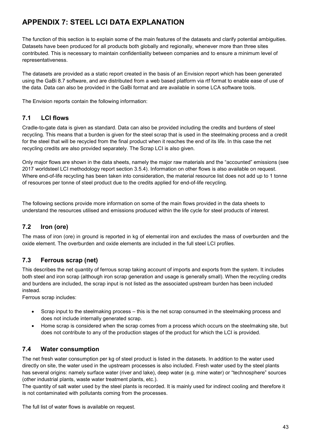# **APPENDIX 7: STEEL LCI DATA EXPLANATION**

The function of this section is to explain some of the main features of the datasets and clarify potential ambiguities. Datasets have been produced for all products both globally and regionally, whenever more than three sites contributed. This is necessary to maintain confidentiality between companies and to ensure a minimum level of representativeness.

The datasets are provided as a static report created in the basis of an Envision report which has been generated using the GaBi 8.7 software, and are distributed from a web based platform via rtf format to enable ease of use of the data. Data can also be provided in the GaBi format and are available in some LCA software tools.

The Envision reports contain the following information:

### **7.1 LCI flows**

Cradle-to-gate data is given as standard. Data can also be provided including the credits and burdens of steel recycling. This means that a burden is given for the steel scrap that is used in the steelmaking process and a credit for the steel that will be recycled from the final product when it reaches the end of its life. In this case the net recycling credits are also provided separately. The Scrap LCI is also given.

Only major flows are shown in the data sheets, namely the major raw materials and the "accounted" emissions (see 2017 worldsteel LCI methodology report section 3.5.4). Information on other flows is also available on request. Where end-of-life recycling has been taken into consideration, the material resource list does not add up to 1 tonne of resources per tonne of steel product due to the credits applied for end-of-life recycling.

The following sections provide more information on some of the main flows provided in the data sheets to understand the resources utilised and emissions produced within the life cycle for steel products of interest.

### **7.2 Iron (ore)**

The mass of iron (ore) in ground is reported in kg of elemental iron and excludes the mass of overburden and the oxide element. The overburden and oxide elements are included in the full steel LCI profiles.

### **7.3 Ferrous scrap (net)**

This describes the net quantity of ferrous scrap taking account of imports and exports from the system. It includes both steel and iron scrap (although iron scrap generation and usage is generally small). When the recycling credits and burdens are included, the scrap input is not listed as the associated upstream burden has been included instead.

Ferrous scrap includes:

- Scrap input to the steelmaking process this is the net scrap consumed in the steelmaking process and does not include internally generated scrap.
- Home scrap is considered when the scrap comes from a process which occurs on the steelmaking site, but does not contribute to any of the production stages of the product for which the LCI is provided.

### **7.4 Water consumption**

The net fresh water consumption per kg of steel product is listed in the datasets. In addition to the water used directly on site, the water used in the upstream processes is also included. Fresh water used by the steel plants has several origins: namely surface water (river and lake), deep water (e.g. mine water) or "technosphere" sources (other industrial plants, waste water treatment plants, etc.).

The quantity of salt water used by the steel plants is recorded. It is mainly used for indirect cooling and therefore it is not contaminated with pollutants coming from the processes.

The full list of water flows is available on request.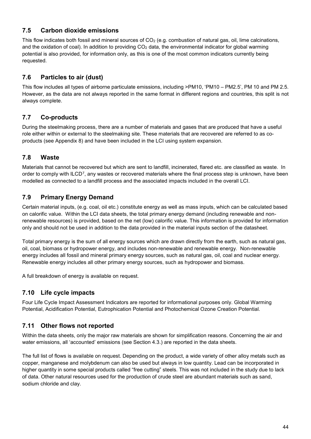#### **7.5 Carbon dioxide emissions**

This flow indicates both fossil and mineral sources of  $CO<sub>2</sub>$  (e.g. combustion of natural gas, oil, lime calcinations, and the oxidation of coal). In addition to providing  $CO<sub>2</sub>$  data, the environmental indicator for global warming potential is also provided, for information only, as this is one of the most common indicators currently being requested.

### **7.6 Particles to air (dust)**

This flow includes all types of airborne particulate emissions, including >PM10, 'PM10 – PM2.5', PM 10 and PM 2.5. However, as the data are not always reported in the same format in different regions and countries, this split is not always complete.

### **7.7 Co-products**

During the steelmaking process, there are a number of materials and gases that are produced that have a useful role either within or external to the steelmaking site. These materials that are recovered are referred to as coproducts (see Appendix 8) and have been included in the LCI using system expansion.

# **7.8 Waste**

Materials that cannot be recovered but which are sent to landfill, incinerated, flared etc. are classified as waste. In order to comply with ILCD<sup>7</sup>, any wastes or recovered materials where the final process step is unknown, have been modelled as connected to a landfill process and the associated impacts included in the overall LCI.

# **7.9 Primary Energy Demand**

Certain material inputs, (e.g. coal, oil etc.) constitute energy as well as mass inputs, which can be calculated based on calorific value. Within the LCI data sheets, the total primary energy demand (including renewable and nonrenewable resources) is provided, based on the net (low) calorific value. This information is provided for information only and should not be used in addition to the data provided in the material inputs section of the datasheet.

Total primary energy is the sum of all energy sources which are drawn directly from the earth, such as natural gas, oil, coal, biomass or hydropower energy, and includes non-renewable and renewable energy. Non-renewable energy includes all fossil and mineral primary energy sources, such as natural gas, oil, coal and nuclear energy. Renewable energy includes all other primary energy sources, such as hydropower and biomass.

A full breakdown of energy is available on request.

### **7.10 Life cycle impacts**

Four Life Cycle Impact Assessment Indicators are reported for informational purposes only. Global Warming Potential, Acidification Potential, Eutrophication Potential and Photochemical Ozone Creation Potential.

### **7.11 Other flows not reported**

Within the data sheets, only the major raw materials are shown for simplification reasons. Concerning the air and water emissions, all 'accounted' emissions (see Section [4.3.](#page-13-1)) are reported in the data sheets.

The full list of flows is available on request. Depending on the product, a wide variety of other alloy metals such as copper, manganese and molybdenum can also be used but always in low quantity. Lead can be incorporated in higher quantity in some special products called "free cutting" steels. This was not included in the study due to lack of data. Other natural resources used for the production of crude steel are abundant materials such as sand, sodium chloride and clay.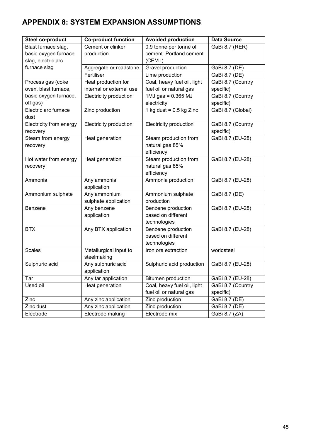# **APPENDIX 8: SYSTEM EXPANSION ASSUMPTIONS**

| Steel co-product        | <b>Co-product function</b> | <b>Avoided production</b>   | <b>Data Source</b> |  |  |  |  |  |
|-------------------------|----------------------------|-----------------------------|--------------------|--|--|--|--|--|
| Blast furnace slag,     | Cement or clinker          | 0.9 tonne per tonne of      | GaBi 8.7 (RER)     |  |  |  |  |  |
| basic oxygen furnace    | production                 | cement. Portland cement     |                    |  |  |  |  |  |
| slag, electric arc      |                            | (CEM I)                     |                    |  |  |  |  |  |
| furnace slag            | Aggregate or roadstone     | Gravel production           | GaBi 8.7 (DE)      |  |  |  |  |  |
|                         | Fertiliser                 | Lime production             | GaBi 8.7 (DE)      |  |  |  |  |  |
| Process gas (coke       | Heat production for        | Coal, heavy fuel oil, light | GaBi 8.7 (Country  |  |  |  |  |  |
| oven, blast furnace,    | internal or external use   | fuel oil or natural gas     | specific)          |  |  |  |  |  |
| basic oxygen furnace,   | Electricity production     | $1MJ$ gas = 0.365 MJ        | GaBi 8.7 (Country  |  |  |  |  |  |
| off gas)                |                            | electricity                 | specific)          |  |  |  |  |  |
| Electric arc furnace    | Zinc production            | 1 kg dust = $0.5$ kg Zinc   | GaBi 8.7 (Global)  |  |  |  |  |  |
| dust                    |                            |                             |                    |  |  |  |  |  |
| Electricity from energy | Electricity production     | Electricity production      | GaBi 8.7 (Country  |  |  |  |  |  |
| recovery                |                            |                             | specific)          |  |  |  |  |  |
| Steam from energy       | Heat generation            | Steam production from       | GaBi 8.7 (EU-28)   |  |  |  |  |  |
| recovery                |                            | natural gas 85%             |                    |  |  |  |  |  |
|                         |                            | efficiency                  |                    |  |  |  |  |  |
| Hot water from energy   | Heat generation            | Steam production from       | GaBi 8.7 (EU-28)   |  |  |  |  |  |
| recovery                |                            | natural gas 85%             |                    |  |  |  |  |  |
|                         |                            | efficiency                  |                    |  |  |  |  |  |
| Ammonia                 | Any ammonia                | Ammonia production          | GaBi 8.7 (EU-28)   |  |  |  |  |  |
|                         | application                |                             |                    |  |  |  |  |  |
| Ammonium sulphate       | Any ammonium               | Ammonium sulphate           | GaBi 8.7 (DE)      |  |  |  |  |  |
|                         | sulphate application       | production                  |                    |  |  |  |  |  |
| Benzene                 | Any benzene                | Benzene production          | GaBi 8.7 (EU-28)   |  |  |  |  |  |
|                         | application                | based on different          |                    |  |  |  |  |  |
|                         |                            | technologies                |                    |  |  |  |  |  |
| <b>BTX</b>              | Any BTX application        | Benzene production          | GaBi 8.7 (EU-28)   |  |  |  |  |  |
|                         |                            | based on different          |                    |  |  |  |  |  |
|                         |                            | technologies                |                    |  |  |  |  |  |
| <b>Scales</b>           | Metallurgical input to     | Iron ore extraction         | worldsteel         |  |  |  |  |  |
|                         | steelmaking                |                             |                    |  |  |  |  |  |
| Sulphuric acid          | Any sulphuric acid         | Sulphuric acid production   | GaBi 8.7 (EU-28)   |  |  |  |  |  |
|                         | application                |                             |                    |  |  |  |  |  |
| Tar                     | Any tar application        | <b>Bitumen production</b>   | GaBi 8.7 (EU-28)   |  |  |  |  |  |
| Used oil                | Heat generation            | Coal, heavy fuel oil, light | GaBi 8.7 (Country  |  |  |  |  |  |
|                         |                            | fuel oil or natural gas     | specific)          |  |  |  |  |  |
| Zinc                    | Any zinc application       | Zinc production             | GaBi 8.7 (DE)      |  |  |  |  |  |
| Zinc dust               | Any zinc application       | Zinc production             | GaBi 8.7 (DE)      |  |  |  |  |  |
| Electrode               | Electrode making           | Electrode mix               | GaBi 8.7 (ZA)      |  |  |  |  |  |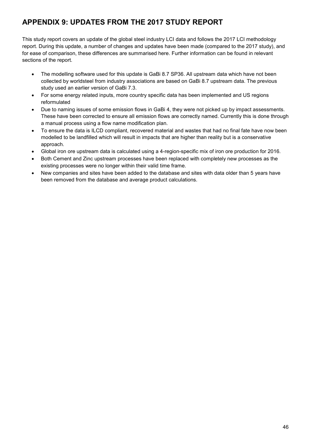# **APPENDIX 9: UPDATES FROM THE 2017 STUDY REPORT**

This study report covers an update of the global steel industry LCI data and follows the 2017 LCI methodology report. During this update, a number of changes and updates have been made (compared to the 2017 study), and for ease of comparison, these differences are summarised here. Further information can be found in relevant sections of the report.

- The modelling software used for this update is GaBi 8.7 SP36. All upstream data which have not been collected by worldsteel from industry associations are based on GaBi 8.7 upstream data. The previous study used an earlier version of GaBi 7.3.
- For some energy related inputs, more country specific data has been implemented and US regions reformulated
- Due to naming issues of some emission flows in GaBi 4, they were not picked up by impact assessments. These have been corrected to ensure all emission flows are correctly named. Currently this is done through a manual process using a flow name modification plan.
- To ensure the data is ILCD compliant, recovered material and wastes that had no final fate have now been modelled to be landfilled which will result in impacts that are higher than reality but is a conservative approach.
- Global iron ore upstream data is calculated using a 4-region-specific mix of iron ore production for 2016.
- Both Cement and Zinc upstream processes have been replaced with completely new processes as the existing processes were no longer within their valid time frame.
- New companies and sites have been added to the database and sites with data older than 5 years have been removed from the database and average product calculations.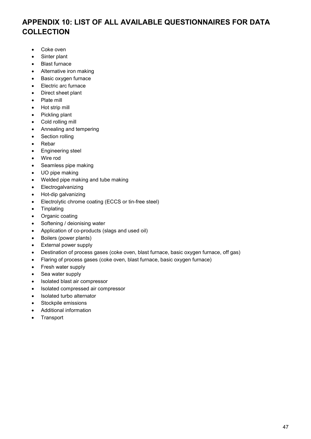# **APPENDIX 10: LIST OF ALL AVAILABLE QUESTIONNAIRES FOR DATA COLLECTION**

- Coke oven
- Sinter plant
- Blast furnace
- Alternative iron making
- Basic oxygen furnace
- Electric arc furnace
- Direct sheet plant
- Plate mill
- Hot strip mill
- Pickling plant
- Cold rolling mill
- Annealing and tempering
- Section rolling
- Rebar
- Engineering steel
- Wire rod
- Seamless pipe making
- UO pipe making
- Welded pipe making and tube making
- **Electrogalvanizing**
- Hot-dip galvanizing
- Electrolytic chrome coating (ECCS or tin-free steel)
- Tinplating
- Organic coating
- Softening / deionising water
- Application of co-products (slags and used oil)
- Boilers (power plants)
- External power supply
- Destination of process gases (coke oven, blast furnace, basic oxygen furnace, off gas)
- Flaring of process gases (coke oven, blast furnace, basic oxygen furnace)
- Fresh water supply
- Sea water supply
- Isolated blast air compressor
- Isolated compressed air compressor
- Isolated turbo alternator
- Stockpile emissions
- Additional information
- **Transport**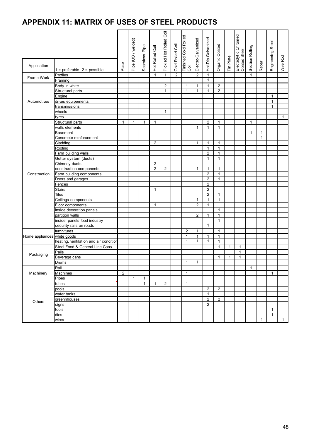# **APPENDIX 11: MATRIX OF USES OF STEEL PRODUCTS**

| Application                 |                                        |                | Pipe (UO / welded) | Seamless Pipe | Hot Rolled Coil | Pickled Hot Rolled Coil | Cold Rolled Coil | Finished Cold Rolled<br>Coil | Electro-Galvanized | Hot-Dip Galvanized | Organic Coated | <b>Tin Plate</b> | Electrolytic Chromed<br>Coated Steel | Section Rolling | Rebar        | Engineering Steel | Wire Rod     |
|-----------------------------|----------------------------------------|----------------|--------------------|---------------|-----------------|-------------------------|------------------|------------------------------|--------------------|--------------------|----------------|------------------|--------------------------------------|-----------------|--------------|-------------------|--------------|
|                             | $1$ = preferable $2$ = possible        | Plate          |                    |               |                 |                         |                  |                              |                    |                    |                |                  |                                      |                 |              |                   |              |
|                             | Profiles                               |                |                    |               | $\mathbf{1}$    | $\mathbf{1}$            | 2                |                              | $\overline{2}$     | $\mathbf{1}$       |                |                  |                                      | $\mathbf{1}$    |              |                   |              |
| Frame-Work                  | Framing                                |                |                    |               |                 |                         |                  |                              |                    | $\mathbf{1}$       |                |                  |                                      |                 |              |                   |              |
|                             | Body in white                          |                |                    |               |                 | 2                       |                  | $\mathbf{1}$                 | $\mathbf{1}$       | $\mathbf{1}$       | 2              |                  |                                      |                 |              |                   |              |
|                             | Structural parts                       |                |                    |               |                 | $\mathbf{1}$            |                  | $\mathbf{1}$                 | $\mathbf{1}$       | $\mathbf{1}$       | $\overline{2}$ |                  |                                      |                 |              |                   |              |
|                             | Engine                                 |                |                    |               |                 |                         |                  |                              |                    |                    |                |                  |                                      |                 |              | $\mathbf{1}$      |              |
| Automotives                 | drives equipements                     |                |                    |               |                 |                         |                  |                              |                    |                    |                |                  |                                      |                 |              | $\mathbf{1}$      |              |
|                             | transmissions                          |                |                    |               |                 |                         |                  |                              |                    |                    |                |                  |                                      |                 |              | $\mathbf{1}$      |              |
|                             | wheels                                 |                |                    |               |                 | $\mathbf{1}$            |                  |                              |                    |                    |                |                  |                                      |                 |              |                   |              |
|                             | tyres                                  |                |                    |               |                 |                         |                  |                              |                    |                    |                |                  |                                      |                 |              |                   | $\mathbf{1}$ |
|                             | Structural parts                       | $\mathbf{1}$   | $\mathbf{1}$       | $\mathbf{1}$  | 1               |                         |                  |                              |                    | $\overline{2}$     | $\mathbf{1}$   |                  |                                      | $\mathbf{1}$    |              |                   |              |
|                             | walls elements                         |                |                    |               |                 |                         |                  |                              | $\mathbf{1}$       | $\mathbf{1}$       | $\mathbf{1}$   |                  |                                      |                 |              |                   |              |
|                             | <b>Basement</b>                        |                |                    |               |                 |                         |                  |                              |                    |                    |                |                  |                                      | $\mathbf{1}$    | $\mathbf{1}$ |                   |              |
|                             | Concreete reinforcement                |                |                    |               |                 |                         |                  |                              |                    |                    |                |                  |                                      |                 | $\mathbf{1}$ |                   |              |
|                             | Cladding                               |                |                    |               | $\overline{2}$  |                         |                  |                              | $\mathbf{1}$       | $\mathbf{1}$       | $\mathbf{1}$   |                  |                                      |                 |              |                   |              |
|                             | Roofing                                |                |                    |               |                 |                         |                  |                              |                    | $\mathbf{1}$       | $\mathbf{1}$   |                  |                                      |                 |              |                   |              |
|                             | Farm building walls                    |                |                    |               |                 |                         |                  |                              |                    | $\overline{2}$     | $\mathbf{1}$   |                  |                                      |                 |              |                   |              |
|                             | Gutter system (ducts)                  |                |                    |               |                 |                         |                  |                              |                    | $\mathbf{1}$       | $\mathbf{1}$   |                  |                                      |                 |              |                   |              |
|                             | Chimney ducts                          |                |                    |               | 2               |                         |                  |                              |                    |                    |                |                  |                                      |                 |              |                   |              |
|                             | construstion components                |                |                    |               | $\overline{2}$  | $\overline{2}$          |                  |                              | $\mathbf{1}$       | $\mathbf{1}$       | $\mathbf{1}$   |                  |                                      |                 |              |                   |              |
| Construction                | Farm building components               |                |                    |               |                 |                         |                  |                              |                    | $\overline{2}$     | $\mathbf{1}$   |                  |                                      |                 |              |                   |              |
|                             | Doors and garages                      |                |                    |               |                 |                         |                  |                              |                    | $\overline{2}$     | $\mathbf{1}$   |                  |                                      |                 |              |                   |              |
|                             | Fences                                 |                |                    |               |                 |                         |                  |                              |                    | $\overline{2}$     |                |                  |                                      |                 |              |                   |              |
|                             | <b>Stairs</b>                          |                |                    |               | $\mathbf{1}$    |                         |                  |                              |                    | $\overline{c}$     |                |                  |                                      |                 |              |                   |              |
|                             | <b>Tiles</b>                           |                |                    |               |                 |                         |                  |                              |                    | $\overline{2}$     | $\mathbf{1}$   |                  |                                      |                 |              |                   |              |
|                             | Ceilings components                    |                |                    |               |                 |                         |                  |                              | $\mathbf{1}$       | $\mathbf{1}$       | $\mathbf{1}$   |                  |                                      |                 |              |                   |              |
|                             | Floor components                       |                |                    |               | $\mathbf{1}$    |                         |                  |                              | $\overline{2}$     | $\mathbf{1}$       |                |                  |                                      |                 |              |                   |              |
|                             | Inside decoration panels               |                |                    |               |                 |                         |                  |                              |                    |                    | $\mathbf{1}$   |                  |                                      |                 |              |                   |              |
|                             | partition walls                        |                |                    |               |                 |                         |                  |                              | $\overline{2}$     | $\mathbf{1}$       | $\mathbf{1}$   |                  |                                      |                 |              |                   |              |
|                             | inside panels food industry            |                |                    |               |                 |                         |                  |                              |                    |                    | $\mathbf{1}$   |                  |                                      |                 |              |                   |              |
|                             | security rails on roads                |                |                    |               |                 |                         |                  |                              |                    | $\mathbf{1}$       |                |                  |                                      |                 |              |                   |              |
|                             | furnnitures                            |                |                    |               |                 |                         |                  | $\overline{2}$               | $\mathbf{1}$       |                    | $\mathbf{1}$   |                  |                                      |                 |              |                   |              |
| Home appliances white goods |                                        |                |                    |               |                 |                         |                  | $\mathbf{1}$                 | $\mathbf{1}$       | $\mathbf{1}$       | $\mathbf{1}$   |                  |                                      |                 |              |                   |              |
|                             | heating, ventilation and air condition |                |                    |               |                 |                         |                  | 1                            | $\mathbf{1}$       | $\mathbf{1}$       | $\mathbf{1}$   |                  |                                      |                 |              |                   |              |
| Packaging                   | Steel Food & General Line Cans         |                |                    |               |                 |                         |                  |                              |                    |                    | $\mathbf{1}$   | $\mathbf{1}$     | $\mathbf{1}$                         |                 |              |                   |              |
|                             | Pails                                  |                |                    |               |                 |                         |                  |                              |                    |                    |                |                  | $\mathbf{1}$                         |                 |              |                   |              |
|                             | Beverage cans                          |                |                    |               |                 |                         |                  |                              |                    |                    | 1              | $\mathbf{1}$     | $\mathbf{1}$                         |                 |              |                   |              |
|                             | <b>Drums</b>                           |                |                    |               |                 |                         |                  | $\mathbf{1}$                 | $\mathbf{1}$       |                    |                |                  |                                      |                 |              |                   |              |
| Machinery                   | Rail                                   |                |                    |               |                 |                         |                  |                              |                    |                    |                |                  |                                      | $\mathbf{1}$    |              |                   |              |
|                             | Machines                               | $\overline{2}$ |                    |               |                 |                         |                  | $\mathbf{1}$                 |                    |                    |                |                  |                                      |                 |              | $\mathbf{1}$      |              |
|                             | Pipes                                  |                | $\mathbf{1}$       | $\mathbf{1}$  |                 |                         |                  |                              |                    |                    |                |                  |                                      |                 |              |                   |              |
| Others                      | tubes                                  |                |                    | 1             | $\mathbf{1}$    | $\overline{c}$          |                  | 1                            |                    |                    |                |                  |                                      |                 |              |                   |              |
|                             | pools                                  |                |                    |               |                 |                         |                  |                              |                    | $\overline{2}$     | $\overline{2}$ |                  |                                      |                 |              |                   |              |
|                             | water tanks                            |                |                    |               |                 |                         |                  |                              |                    | $\mathbf{1}$       |                |                  |                                      |                 |              |                   |              |
|                             | greennhouses                           |                |                    |               |                 |                         |                  |                              |                    | $\overline{2}$     | $\overline{c}$ |                  |                                      |                 |              |                   |              |
|                             | signs                                  |                |                    |               |                 |                         |                  |                              |                    | $\overline{2}$     |                |                  |                                      |                 |              |                   |              |
|                             | tools                                  |                |                    |               |                 |                         |                  |                              |                    |                    |                |                  |                                      |                 |              | $\mathbf{1}$      |              |
|                             | dies                                   |                |                    |               |                 |                         |                  |                              |                    |                    |                |                  |                                      |                 |              | $\mathbf{1}$      |              |
|                             | wires                                  |                |                    |               |                 |                         |                  |                              |                    |                    |                |                  |                                      |                 | $\mathbf{1}$ |                   | $\mathbf{1}$ |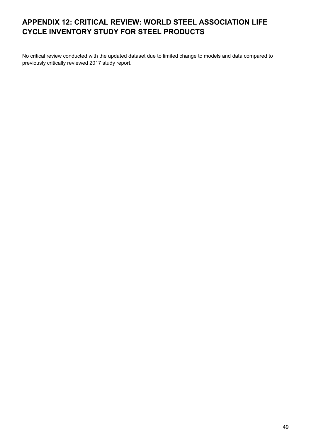# **APPENDIX 12: CRITICAL REVIEW: WORLD STEEL ASSOCIATION LIFE CYCLE INVENTORY STUDY FOR STEEL PRODUCTS**

No critical review conducted with the updated dataset due to limited change to models and data compared to previously critically reviewed 2017 study report.